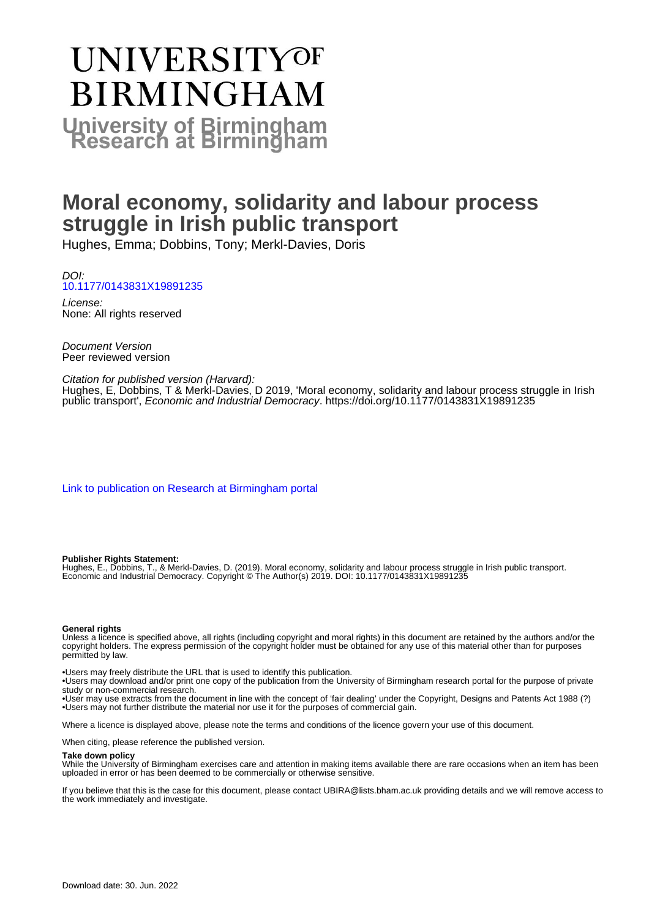# **UNIVERSITYOF BIRMINGHAM University of Birmingham**

# **Moral economy, solidarity and labour process struggle in Irish public transport**

Hughes, Emma; Dobbins, Tony; Merkl-Davies, Doris

DOI: [10.1177/0143831X19891235](https://doi.org/10.1177/0143831X19891235)

License: None: All rights reserved

Document Version Peer reviewed version

Citation for published version (Harvard): Hughes, E, Dobbins, T & Merkl-Davies, D 2019, 'Moral economy, solidarity and labour process struggle in Irish

public transport', Economic and Industrial Democracy.<https://doi.org/10.1177/0143831X19891235>

[Link to publication on Research at Birmingham portal](https://birmingham.elsevierpure.com/en/publications/8c0e7a4b-edf2-43f9-aaf1-9a3266cb1b90)

#### **Publisher Rights Statement:**

Hughes, E., Dobbins, T., & Merkl-Davies, D. (2019). Moral economy, solidarity and labour process struggle in Irish public transport. Economic and Industrial Democracy. Copyright © The Author(s) 2019. DOI: 10.1177/0143831X19891235

#### **General rights**

Unless a licence is specified above, all rights (including copyright and moral rights) in this document are retained by the authors and/or the copyright holders. The express permission of the copyright holder must be obtained for any use of this material other than for purposes permitted by law.

• Users may freely distribute the URL that is used to identify this publication.

• Users may download and/or print one copy of the publication from the University of Birmingham research portal for the purpose of private study or non-commercial research.

• User may use extracts from the document in line with the concept of 'fair dealing' under the Copyright, Designs and Patents Act 1988 (?) • Users may not further distribute the material nor use it for the purposes of commercial gain.

Where a licence is displayed above, please note the terms and conditions of the licence govern your use of this document.

When citing, please reference the published version.

#### **Take down policy**

While the University of Birmingham exercises care and attention in making items available there are rare occasions when an item has been uploaded in error or has been deemed to be commercially or otherwise sensitive.

If you believe that this is the case for this document, please contact UBIRA@lists.bham.ac.uk providing details and we will remove access to the work immediately and investigate.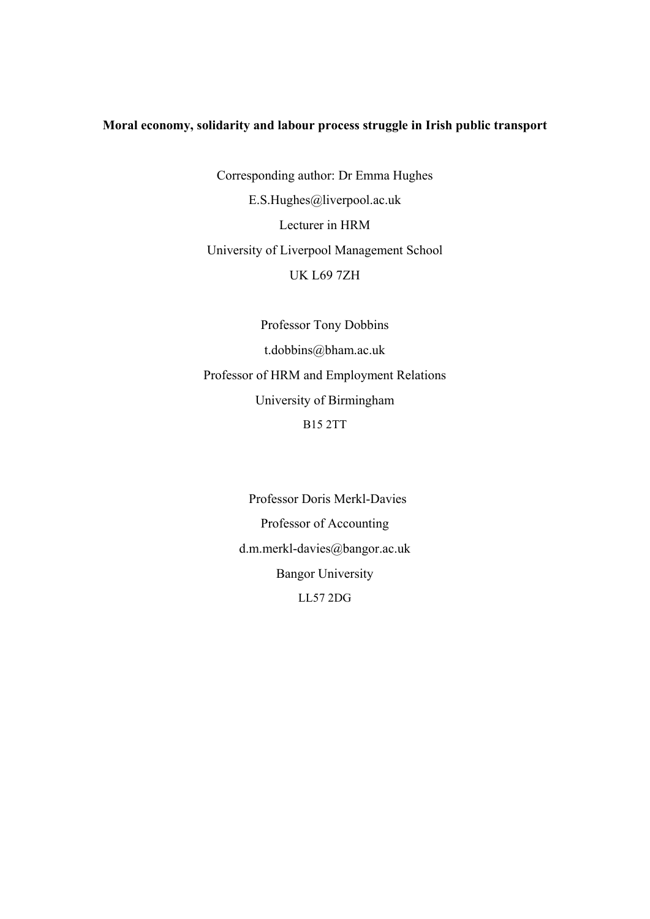# **Moral economy, solidarity and labour process struggle in Irish public transport**

Corresponding author: Dr Emma Hughes E.S.Hughes@liverpool.ac.uk Lecturer in HRM University of Liverpool Management School UK L69 7ZH

Professor Tony Dobbins t.dobbins@bham.ac.uk Professor of HRM and Employment Relations University of Birmingham B15 2TT

> Professor Doris Merkl-Davies Professor of Accounting d.m.merkl-davies@bangor.ac.uk Bangor University LL57 2DG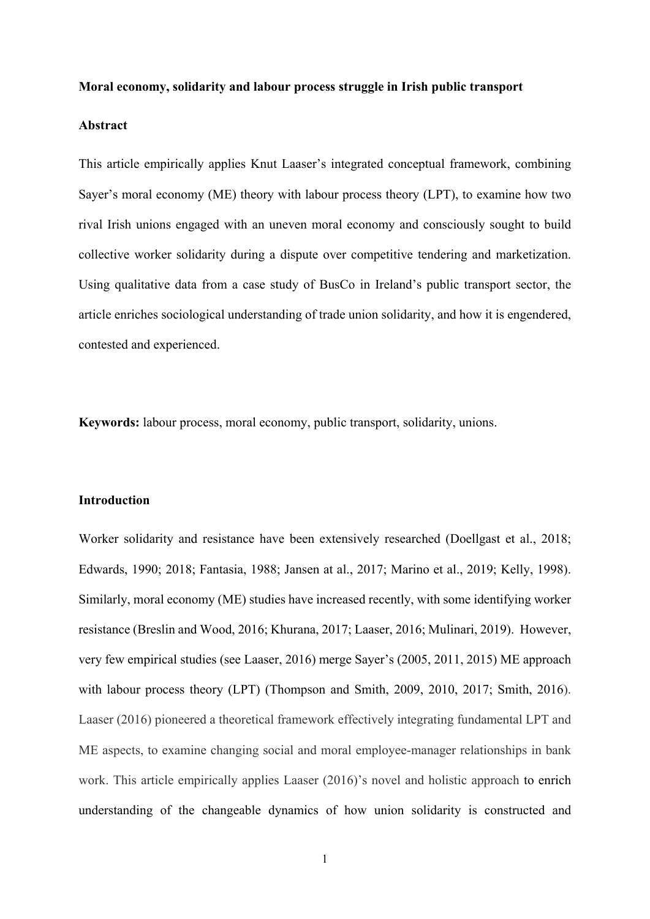#### **Moral economy, solidarity and labour process struggle in Irish public transport**

#### **Abstract**

This article empirically applies Knut Laaser's integrated conceptual framework, combining Sayer's moral economy (ME) theory with labour process theory (LPT), to examine how two rival Irish unions engaged with an uneven moral economy and consciously sought to build collective worker solidarity during a dispute over competitive tendering and marketization. Using qualitative data from a case study of BusCo in Ireland's public transport sector, the article enriches sociological understanding of trade union solidarity, and how it is engendered, contested and experienced.

**Keywords:** labour process, moral economy, public transport, solidarity, unions.

### **Introduction**

Worker solidarity and resistance have been extensively researched (Doellgast et al., 2018; Edwards, 1990; 2018; Fantasia, 1988; Jansen at al., 2017; Marino et al., 2019; Kelly, 1998). Similarly, moral economy (ME) studies have increased recently, with some identifying worker resistance (Breslin and Wood, 2016; Khurana, 2017; Laaser, 2016; Mulinari, 2019). However, very few empirical studies (see Laaser, 2016) merge Sayer's (2005, 2011, 2015) ME approach with labour process theory (LPT) (Thompson and Smith, 2009, 2010, 2017; Smith, 2016). Laaser (2016) pioneered a theoretical framework effectively integrating fundamental LPT and ME aspects, to examine changing social and moral employee-manager relationships in bank work. This article empirically applies Laaser (2016)'s novel and holistic approach to enrich understanding of the changeable dynamics of how union solidarity is constructed and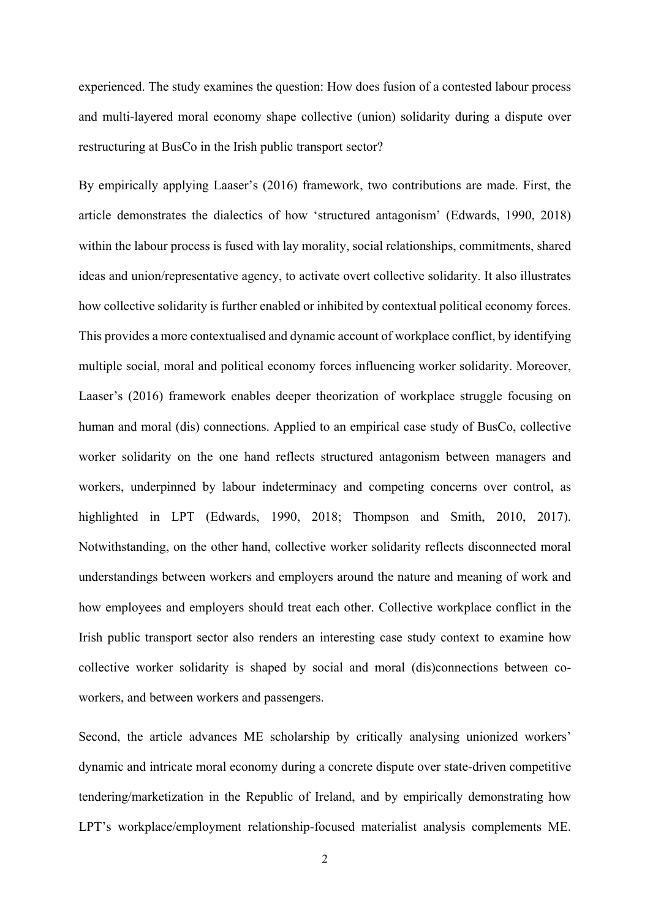experienced. The study examines the question: How does fusion of a contested labour process and multi-layered moral economy shape collective (union) solidarity during a dispute over restructuring at BusCo in the Irish public transport sector?

By empirically applying Laaser's (2016) framework, two contributions are made. First, the article demonstrates the dialectics of how 'structured antagonism' (Edwards, 1990, 2018) within the labour process is fused with lay morality, social relationships, commitments, shared ideas and union/representative agency, to activate overt collective solidarity. It also illustrates how collective solidarity is further enabled or inhibited by contextual political economy forces. This provides a more contextualised and dynamic account of workplace conflict, by identifying multiple social, moral and political economy forces influencing worker solidarity. Moreover, Laaser's (2016) framework enables deeper theorization of workplace struggle focusing on human and moral (dis) connections. Applied to an empirical case study of BusCo, collective worker solidarity on the one hand reflects structured antagonism between managers and workers, underpinned by labour indeterminacy and competing concerns over control, as highlighted in LPT (Edwards, 1990, 2018; Thompson and Smith, 2010, 2017). Notwithstanding, on the other hand, collective worker solidarity reflects disconnected moral understandings between workers and employers around the nature and meaning of work and how employees and employers should treat each other. Collective workplace conflict in the Irish public transport sector also renders an interesting case study context to examine how collective worker solidarity is shaped by social and moral (dis)connections between coworkers, and between workers and passengers.

Second, the article advances ME scholarship by critically analysing unionized workers' dynamic and intricate moral economy during a concrete dispute over state-driven competitive tendering/marketization in the Republic of Ireland, and by empirically demonstrating how LPT's workplace/employment relationship-focused materialist analysis complements ME.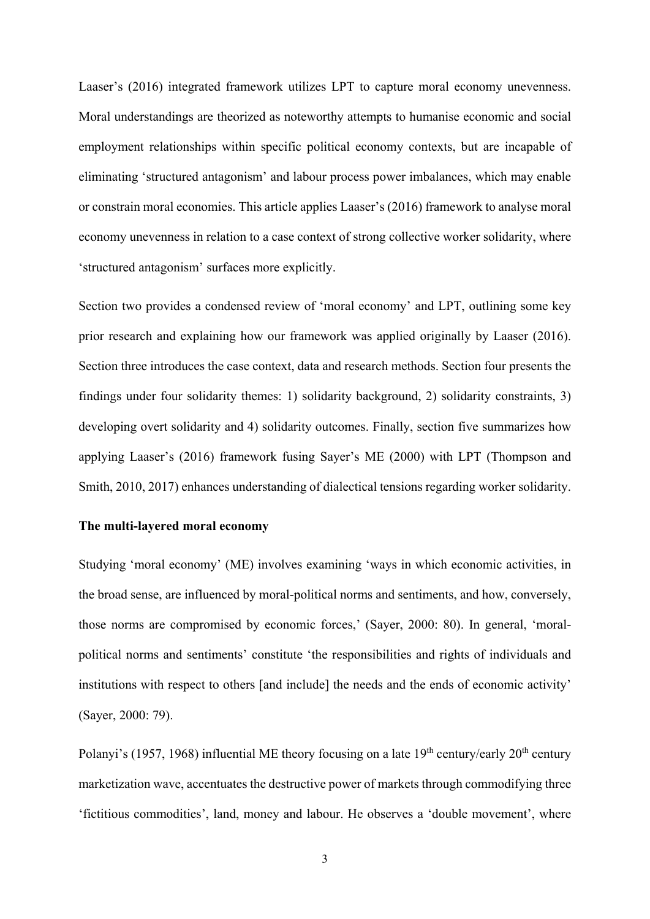Laaser's (2016) integrated framework utilizes LPT to capture moral economy unevenness. Moral understandings are theorized as noteworthy attempts to humanise economic and social employment relationships within specific political economy contexts, but are incapable of eliminating 'structured antagonism' and labour process power imbalances, which may enable or constrain moral economies. This article applies Laaser's (2016) framework to analyse moral economy unevenness in relation to a case context of strong collective worker solidarity, where 'structured antagonism' surfaces more explicitly.

Section two provides a condensed review of 'moral economy' and LPT, outlining some key prior research and explaining how our framework was applied originally by Laaser (2016). Section three introduces the case context, data and research methods. Section four presents the findings under four solidarity themes: 1) solidarity background, 2) solidarity constraints, 3) developing overt solidarity and 4) solidarity outcomes. Finally, section five summarizes how applying Laaser's (2016) framework fusing Sayer's ME (2000) with LPT (Thompson and Smith, 2010, 2017) enhances understanding of dialectical tensions regarding worker solidarity.

#### **The multi-layered moral economy**

Studying 'moral economy' (ME) involves examining 'ways in which economic activities, in the broad sense, are influenced by moral-political norms and sentiments, and how, conversely, those norms are compromised by economic forces,' (Sayer, 2000: 80). In general, 'moralpolitical norms and sentiments' constitute 'the responsibilities and rights of individuals and institutions with respect to others [and include] the needs and the ends of economic activity' (Sayer, 2000: 79).

Polanyi's (1957, 1968) influential ME theory focusing on a late  $19<sup>th</sup>$  century/early  $20<sup>th</sup>$  century marketization wave, accentuates the destructive power of markets through commodifying three 'fictitious commodities', land, money and labour. He observes a 'double movement', where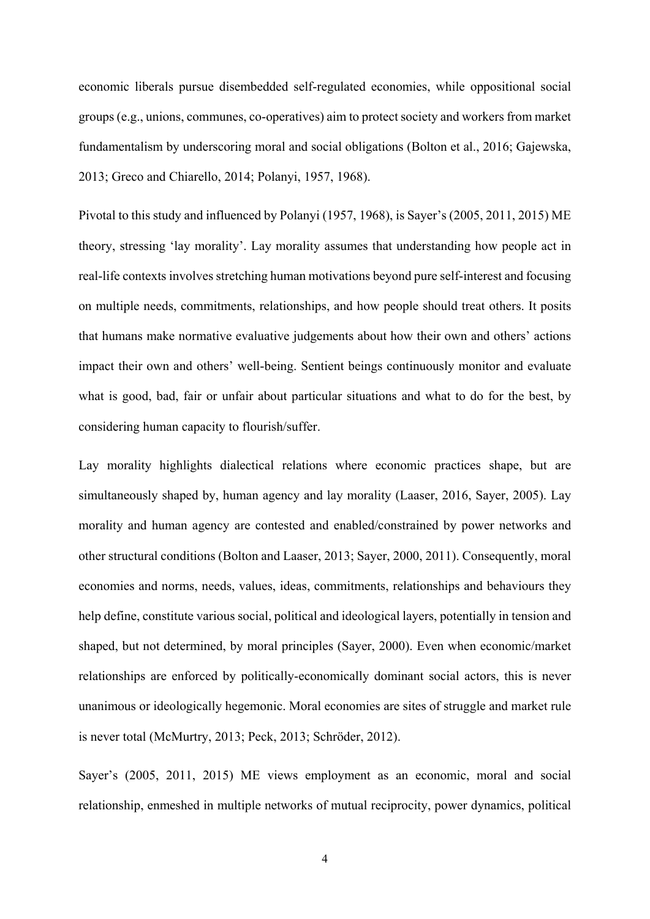economic liberals pursue disembedded self-regulated economies, while oppositional social groups (e.g., unions, communes, co-operatives) aim to protect society and workers from market fundamentalism by underscoring moral and social obligations (Bolton et al., 2016; Gajewska, 2013; Greco and Chiarello, 2014; Polanyi, 1957, 1968).

Pivotal to this study and influenced by Polanyi (1957, 1968), is Sayer's (2005, 2011, 2015) ME theory, stressing 'lay morality'. Lay morality assumes that understanding how people act in real-life contexts involves stretching human motivations beyond pure self-interest and focusing on multiple needs, commitments, relationships, and how people should treat others. It posits that humans make normative evaluative judgements about how their own and others' actions impact their own and others' well-being. Sentient beings continuously monitor and evaluate what is good, bad, fair or unfair about particular situations and what to do for the best, by considering human capacity to flourish/suffer.

Lay morality highlights dialectical relations where economic practices shape, but are simultaneously shaped by, human agency and lay morality (Laaser, 2016, Sayer, 2005). Lay morality and human agency are contested and enabled/constrained by power networks and other structural conditions (Bolton and Laaser, 2013; Sayer, 2000, 2011). Consequently, moral economies and norms, needs, values, ideas, commitments, relationships and behaviours they help define, constitute various social, political and ideological layers, potentially in tension and shaped, but not determined, by moral principles (Sayer, 2000). Even when economic/market relationships are enforced by politically-economically dominant social actors, this is never unanimous or ideologically hegemonic. Moral economies are sites of struggle and market rule is never total (McMurtry, 2013; Peck, 2013; Schröder, 2012).

Sayer's (2005, 2011, 2015) ME views employment as an economic, moral and social relationship, enmeshed in multiple networks of mutual reciprocity, power dynamics, political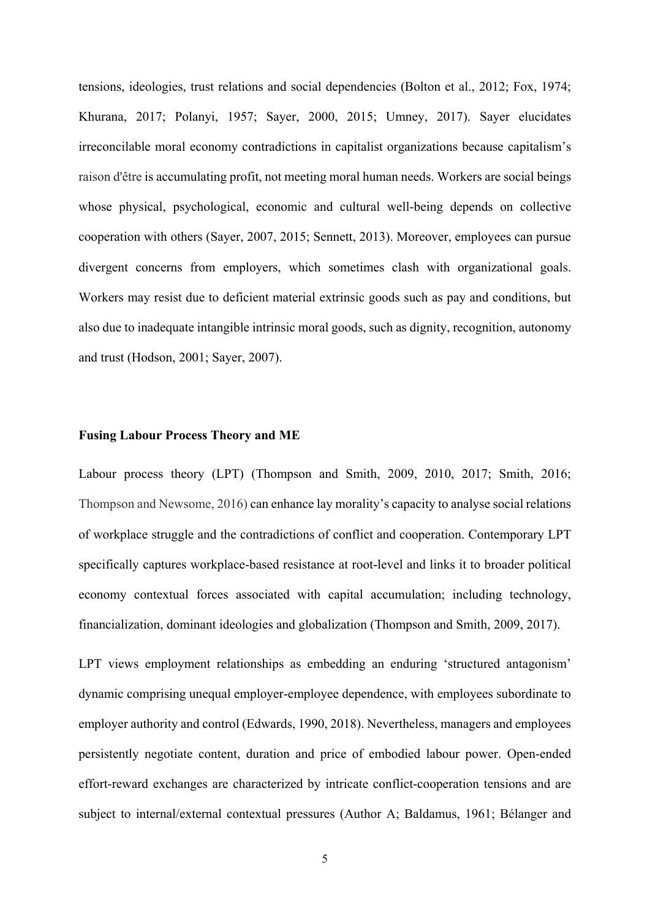tensions, ideologies, trust relations and social dependencies (Bolton et al., 2012; Fox, 1974; Khurana, 2017; Polanyi, 1957; Sayer, 2000, 2015; Umney, 2017). Sayer elucidates irreconcilable moral economy contradictions in capitalist organizations because capitalism's raison d'être is accumulating profit, not meeting moral human needs. Workers are social beings whose physical, psychological, economic and cultural well-being depends on collective cooperation with others (Sayer, 2007, 2015; Sennett, 2013). Moreover, employees can pursue divergent concerns from employers, which sometimes clash with organizational goals. Workers may resist due to deficient material extrinsic goods such as pay and conditions, but also due to inadequate intangible intrinsic moral goods, such as dignity, recognition, autonomy and trust (Hodson, 2001; Sayer, 2007).

#### **Fusing Labour Process Theory and ME**

Labour process theory (LPT) (Thompson and Smith, 2009, 2010, 2017; Smith, 2016; Thompson and Newsome, 2016) can enhance lay morality's capacity to analyse social relations of workplace struggle and the contradictions of conflict and cooperation. Contemporary LPT specifically captures workplace-based resistance at root-level and links it to broader political economy contextual forces associated with capital accumulation; including technology, financialization, dominant ideologies and globalization (Thompson and Smith, 2009, 2017).

LPT views employment relationships as embedding an enduring 'structured antagonism' dynamic comprising unequal employer-employee dependence, with employees subordinate to employer authority and control (Edwards, 1990, 2018). Nevertheless, managers and employees persistently negotiate content, duration and price of embodied labour power. Open-ended effort-reward exchanges are characterized by intricate conflict-cooperation tensions and are subject to internal/external contextual pressures (Author A; Baldamus, 1961; Bélanger and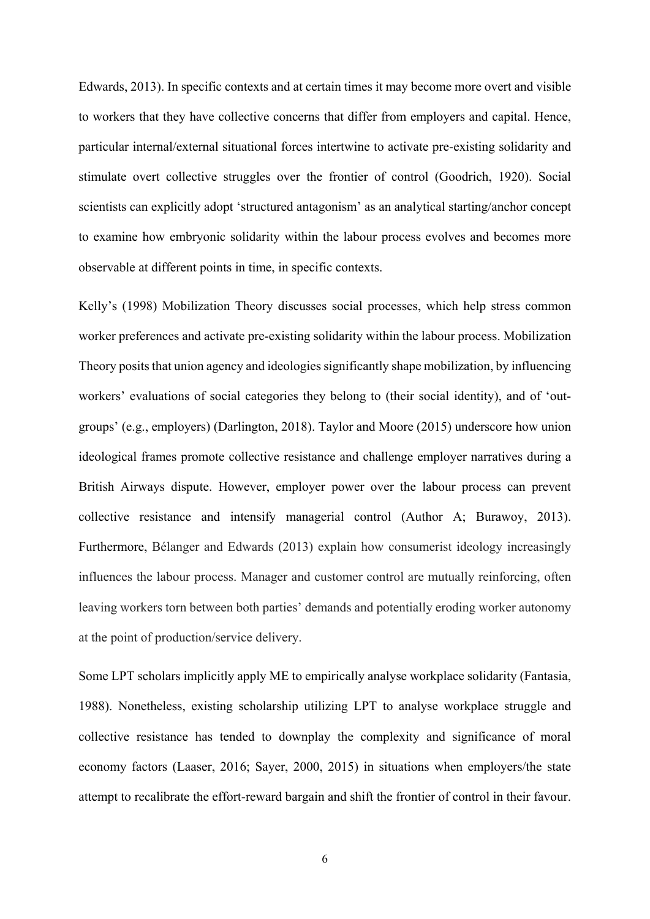Edwards, 2013). In specific contexts and at certain times it may become more overt and visible to workers that they have collective concerns that differ from employers and capital. Hence, particular internal/external situational forces intertwine to activate pre-existing solidarity and stimulate overt collective struggles over the frontier of control (Goodrich, 1920). Social scientists can explicitly adopt 'structured antagonism' as an analytical starting/anchor concept to examine how embryonic solidarity within the labour process evolves and becomes more observable at different points in time, in specific contexts.

Kelly's (1998) Mobilization Theory discusses social processes, which help stress common worker preferences and activate pre-existing solidarity within the labour process. Mobilization Theory posits that union agency and ideologies significantly shape mobilization, by influencing workers' evaluations of social categories they belong to (their social identity), and of 'outgroups' (e.g., employers) (Darlington, 2018). Taylor and Moore (2015) underscore how union ideological frames promote collective resistance and challenge employer narratives during a British Airways dispute. However, employer power over the labour process can prevent collective resistance and intensify managerial control (Author A; Burawoy, 2013). Furthermore, Bélanger and Edwards (2013) explain how consumerist ideology increasingly influences the labour process. Manager and customer control are mutually reinforcing, often leaving workers torn between both parties' demands and potentially eroding worker autonomy at the point of production/service delivery.

Some LPT scholars implicitly apply ME to empirically analyse workplace solidarity (Fantasia, 1988). Nonetheless, existing scholarship utilizing LPT to analyse workplace struggle and collective resistance has tended to downplay the complexity and significance of moral economy factors (Laaser, 2016; Sayer, 2000, 2015) in situations when employers/the state attempt to recalibrate the effort-reward bargain and shift the frontier of control in their favour.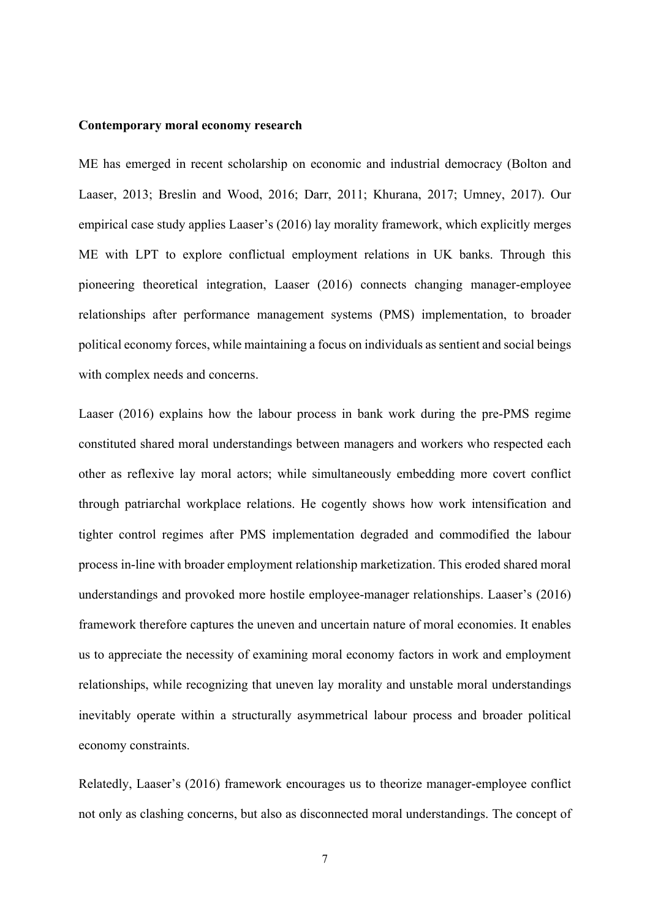#### **Contemporary moral economy research**

ME has emerged in recent scholarship on economic and industrial democracy (Bolton and Laaser, 2013; Breslin and Wood, 2016; Darr, 2011; Khurana, 2017; Umney, 2017). Our empirical case study applies Laaser's (2016) lay morality framework, which explicitly merges ME with LPT to explore conflictual employment relations in UK banks. Through this pioneering theoretical integration, Laaser (2016) connects changing manager-employee relationships after performance management systems (PMS) implementation, to broader political economy forces, while maintaining a focus on individuals as sentient and social beings with complex needs and concerns.

Laaser (2016) explains how the labour process in bank work during the pre-PMS regime constituted shared moral understandings between managers and workers who respected each other as reflexive lay moral actors; while simultaneously embedding more covert conflict through patriarchal workplace relations. He cogently shows how work intensification and tighter control regimes after PMS implementation degraded and commodified the labour process in-line with broader employment relationship marketization. This eroded shared moral understandings and provoked more hostile employee-manager relationships. Laaser's (2016) framework therefore captures the uneven and uncertain nature of moral economies. It enables us to appreciate the necessity of examining moral economy factors in work and employment relationships, while recognizing that uneven lay morality and unstable moral understandings inevitably operate within a structurally asymmetrical labour process and broader political economy constraints.

Relatedly, Laaser's (2016) framework encourages us to theorize manager-employee conflict not only as clashing concerns, but also as disconnected moral understandings. The concept of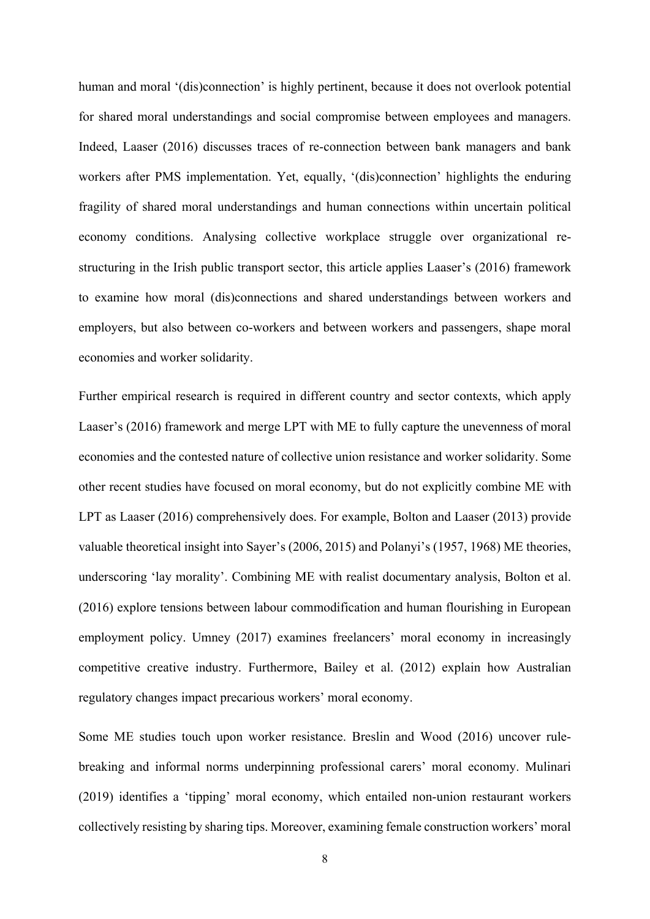human and moral '(dis)connection' is highly pertinent, because it does not overlook potential for shared moral understandings and social compromise between employees and managers. Indeed, Laaser (2016) discusses traces of re-connection between bank managers and bank workers after PMS implementation. Yet, equally, '(dis)connection' highlights the enduring fragility of shared moral understandings and human connections within uncertain political economy conditions. Analysing collective workplace struggle over organizational restructuring in the Irish public transport sector, this article applies Laaser's (2016) framework to examine how moral (dis)connections and shared understandings between workers and employers, but also between co-workers and between workers and passengers, shape moral economies and worker solidarity.

Further empirical research is required in different country and sector contexts, which apply Laaser's (2016) framework and merge LPT with ME to fully capture the unevenness of moral economies and the contested nature of collective union resistance and worker solidarity. Some other recent studies have focused on moral economy, but do not explicitly combine ME with LPT as Laaser (2016) comprehensively does. For example, Bolton and Laaser (2013) provide valuable theoretical insight into Sayer's (2006, 2015) and Polanyi's (1957, 1968) ME theories, underscoring 'lay morality'. Combining ME with realist documentary analysis, Bolton et al. (2016) explore tensions between labour commodification and human flourishing in European employment policy. Umney (2017) examines freelancers' moral economy in increasingly competitive creative industry. Furthermore, Bailey et al. (2012) explain how Australian regulatory changes impact precarious workers' moral economy.

Some ME studies touch upon worker resistance. Breslin and Wood (2016) uncover rulebreaking and informal norms underpinning professional carers' moral economy. Mulinari (2019) identifies a 'tipping' moral economy, which entailed non-union restaurant workers collectively resisting by sharing tips. Moreover, examining female construction workers' moral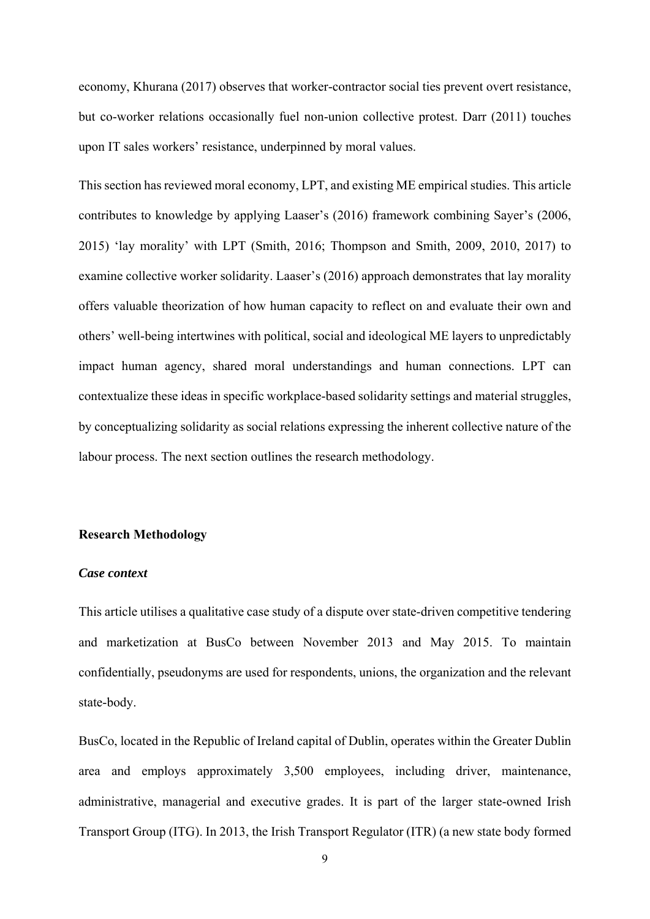economy, Khurana (2017) observes that worker-contractor social ties prevent overt resistance, but co-worker relations occasionally fuel non-union collective protest. Darr (2011) touches upon IT sales workers' resistance, underpinned by moral values.

This section has reviewed moral economy, LPT, and existing ME empirical studies. This article contributes to knowledge by applying Laaser's (2016) framework combining Sayer's (2006, 2015) 'lay morality' with LPT (Smith, 2016; Thompson and Smith, 2009, 2010, 2017) to examine collective worker solidarity. Laaser's (2016) approach demonstrates that lay morality offers valuable theorization of how human capacity to reflect on and evaluate their own and others' well-being intertwines with political, social and ideological ME layers to unpredictably impact human agency, shared moral understandings and human connections. LPT can contextualize these ideas in specific workplace-based solidarity settings and material struggles, by conceptualizing solidarity as social relations expressing the inherent collective nature of the labour process. The next section outlines the research methodology.

#### **Research Methodology**

#### *Case context*

This article utilises a qualitative case study of a dispute over state-driven competitive tendering and marketization at BusCo between November 2013 and May 2015. To maintain confidentially, pseudonyms are used for respondents, unions, the organization and the relevant state-body.

BusCo, located in the Republic of Ireland capital of Dublin, operates within the Greater Dublin area and employs approximately 3,500 employees, including driver, maintenance, administrative, managerial and executive grades. It is part of the larger state-owned Irish Transport Group (ITG). In 2013, the Irish Transport Regulator (ITR) (a new state body formed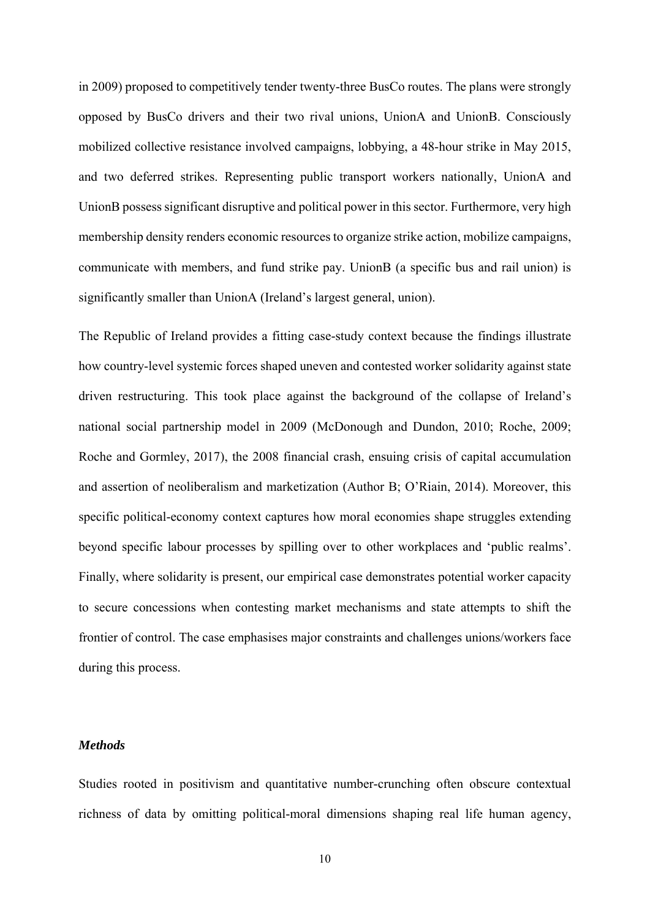in 2009) proposed to competitively tender twenty-three BusCo routes. The plans were strongly opposed by BusCo drivers and their two rival unions, UnionA and UnionB. Consciously mobilized collective resistance involved campaigns, lobbying, a 48-hour strike in May 2015, and two deferred strikes. Representing public transport workers nationally, UnionA and UnionB possess significant disruptive and political power in this sector. Furthermore, very high membership density renders economic resources to organize strike action, mobilize campaigns, communicate with members, and fund strike pay. UnionB (a specific bus and rail union) is significantly smaller than UnionA (Ireland's largest general, union).

The Republic of Ireland provides a fitting case-study context because the findings illustrate how country-level systemic forces shaped uneven and contested worker solidarity against state driven restructuring. This took place against the background of the collapse of Ireland's national social partnership model in 2009 (McDonough and Dundon, 2010; Roche, 2009; Roche and Gormley, 2017), the 2008 financial crash, ensuing crisis of capital accumulation and assertion of neoliberalism and marketization (Author B; O'Riain, 2014). Moreover, this specific political-economy context captures how moral economies shape struggles extending beyond specific labour processes by spilling over to other workplaces and 'public realms'. Finally, where solidarity is present, our empirical case demonstrates potential worker capacity to secure concessions when contesting market mechanisms and state attempts to shift the frontier of control. The case emphasises major constraints and challenges unions/workers face during this process.

### *Methods*

Studies rooted in positivism and quantitative number-crunching often obscure contextual richness of data by omitting political-moral dimensions shaping real life human agency,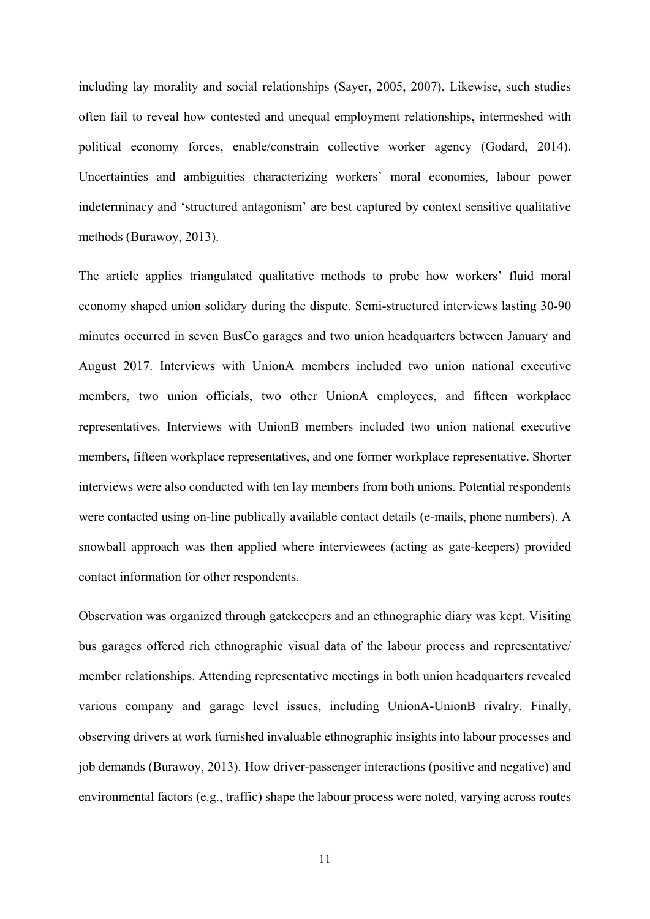including lay morality and social relationships (Sayer, 2005, 2007). Likewise, such studies often fail to reveal how contested and unequal employment relationships, intermeshed with political economy forces, enable/constrain collective worker agency (Godard, 2014). Uncertainties and ambiguities characterizing workers' moral economies, labour power indeterminacy and 'structured antagonism' are best captured by context sensitive qualitative methods (Burawoy, 2013).

The article applies triangulated qualitative methods to probe how workers' fluid moral economy shaped union solidary during the dispute. Semi-structured interviews lasting 30-90 minutes occurred in seven BusCo garages and two union headquarters between January and August 2017. Interviews with UnionA members included two union national executive members, two union officials, two other UnionA employees, and fifteen workplace representatives. Interviews with UnionB members included two union national executive members, fifteen workplace representatives, and one former workplace representative. Shorter interviews were also conducted with ten lay members from both unions. Potential respondents were contacted using on-line publically available contact details (e-mails, phone numbers). A snowball approach was then applied where interviewees (acting as gate-keepers) provided contact information for other respondents.

Observation was organized through gatekeepers and an ethnographic diary was kept. Visiting bus garages offered rich ethnographic visual data of the labour process and representative/ member relationships. Attending representative meetings in both union headquarters revealed various company and garage level issues, including UnionA-UnionB rivalry. Finally, observing drivers at work furnished invaluable ethnographic insights into labour processes and job demands (Burawoy, 2013). How driver-passenger interactions (positive and negative) and environmental factors (e.g., traffic) shape the labour process were noted, varying across routes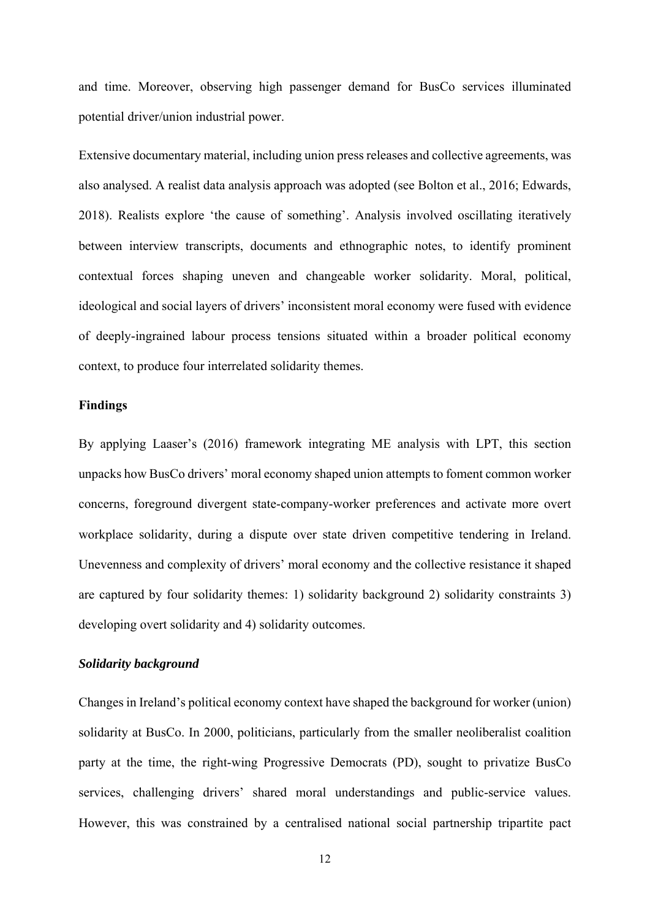and time. Moreover, observing high passenger demand for BusCo services illuminated potential driver/union industrial power.

Extensive documentary material, including union press releases and collective agreements, was also analysed. A realist data analysis approach was adopted (see Bolton et al., 2016; Edwards, 2018). Realists explore 'the cause of something'. Analysis involved oscillating iteratively between interview transcripts, documents and ethnographic notes, to identify prominent contextual forces shaping uneven and changeable worker solidarity. Moral, political, ideological and social layers of drivers' inconsistent moral economy were fused with evidence of deeply-ingrained labour process tensions situated within a broader political economy context, to produce four interrelated solidarity themes.

### **Findings**

By applying Laaser's (2016) framework integrating ME analysis with LPT, this section unpacks how BusCo drivers' moral economy shaped union attempts to foment common worker concerns, foreground divergent state-company-worker preferences and activate more overt workplace solidarity, during a dispute over state driven competitive tendering in Ireland. Unevenness and complexity of drivers' moral economy and the collective resistance it shaped are captured by four solidarity themes: 1) solidarity background 2) solidarity constraints 3) developing overt solidarity and 4) solidarity outcomes.

## *Solidarity background*

Changes in Ireland's political economy context have shaped the background for worker (union) solidarity at BusCo. In 2000, politicians, particularly from the smaller neoliberalist coalition party at the time, the right-wing Progressive Democrats (PD), sought to privatize BusCo services, challenging drivers' shared moral understandings and public-service values. However, this was constrained by a centralised national social partnership tripartite pact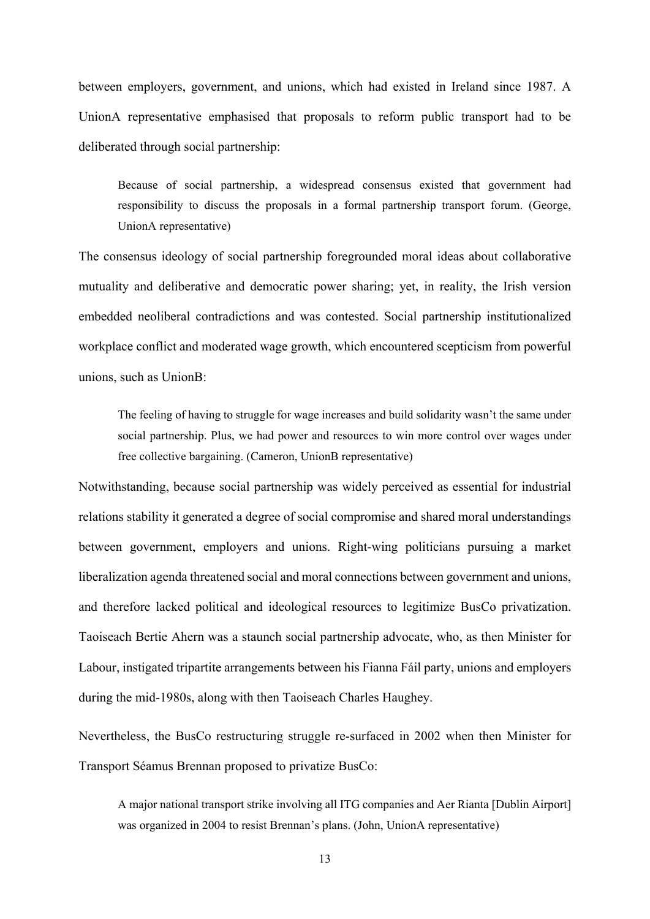between employers, government, and unions, which had existed in Ireland since 1987. A UnionA representative emphasised that proposals to reform public transport had to be deliberated through social partnership:

Because of social partnership, a widespread consensus existed that government had responsibility to discuss the proposals in a formal partnership transport forum. (George, UnionA representative)

The consensus ideology of social partnership foregrounded moral ideas about collaborative mutuality and deliberative and democratic power sharing; yet, in reality, the Irish version embedded neoliberal contradictions and was contested. Social partnership institutionalized workplace conflict and moderated wage growth, which encountered scepticism from powerful unions, such as UnionB:

The feeling of having to struggle for wage increases and build solidarity wasn't the same under social partnership. Plus, we had power and resources to win more control over wages under free collective bargaining. (Cameron, UnionB representative)

Notwithstanding, because social partnership was widely perceived as essential for industrial relations stability it generated a degree of social compromise and shared moral understandings between government, employers and unions. Right-wing politicians pursuing a market liberalization agenda threatened social and moral connections between government and unions, and therefore lacked political and ideological resources to legitimize BusCo privatization. Taoiseach Bertie Ahern was a staunch social partnership advocate, who, as then Minister for Labour, instigated tripartite arrangements between his Fianna Fáil party, unions and employers during the mid-1980s, along with then Taoiseach Charles Haughey.

Nevertheless, the BusCo restructuring struggle re-surfaced in 2002 when then Minister for Transport Séamus Brennan proposed to privatize BusCo:

A major national transport strike involving all ITG companies and Aer Rianta [Dublin Airport] was organized in 2004 to resist Brennan's plans. (John, UnionA representative)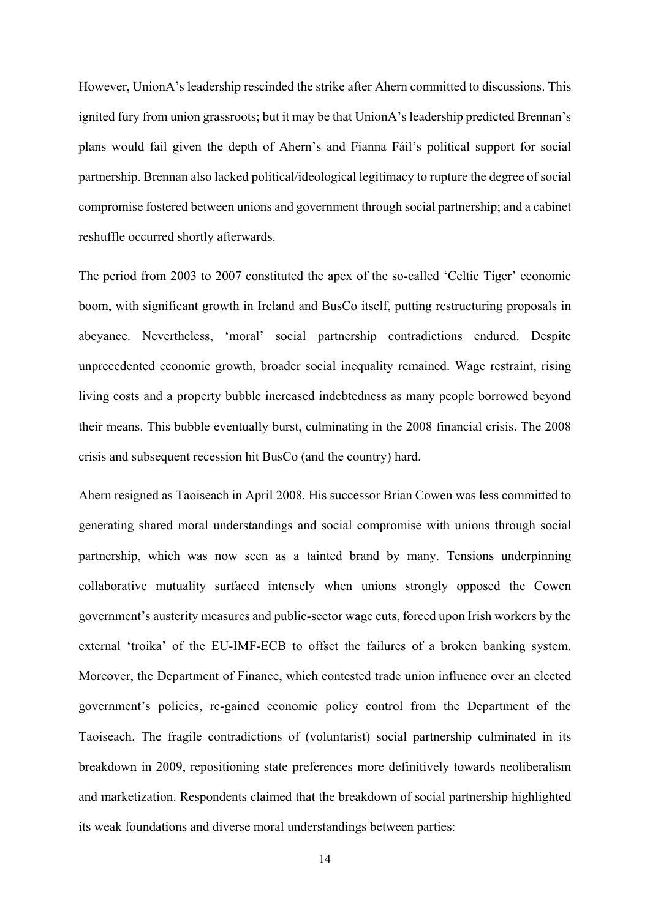However, UnionA's leadership rescinded the strike after Ahern committed to discussions. This ignited fury from union grassroots; but it may be that UnionA's leadership predicted Brennan's plans would fail given the depth of Ahern's and Fianna Fáil's political support for social partnership. Brennan also lacked political/ideological legitimacy to rupture the degree of social compromise fostered between unions and government through social partnership; and a cabinet reshuffle occurred shortly afterwards.

The period from 2003 to 2007 constituted the apex of the so-called 'Celtic Tiger' economic boom, with significant growth in Ireland and BusCo itself, putting restructuring proposals in abeyance. Nevertheless, 'moral' social partnership contradictions endured. Despite unprecedented economic growth, broader social inequality remained. Wage restraint, rising living costs and a property bubble increased indebtedness as many people borrowed beyond their means. This bubble eventually burst, culminating in the 2008 financial crisis. The 2008 crisis and subsequent recession hit BusCo (and the country) hard.

Ahern resigned as Taoiseach in April 2008. His successor Brian Cowen was less committed to generating shared moral understandings and social compromise with unions through social partnership, which was now seen as a tainted brand by many. Tensions underpinning collaborative mutuality surfaced intensely when unions strongly opposed the Cowen government's austerity measures and public-sector wage cuts, forced upon Irish workers by the external 'troika' of the EU-IMF-ECB to offset the failures of a broken banking system. Moreover, the Department of Finance, which contested trade union influence over an elected government's policies, re-gained economic policy control from the Department of the Taoiseach. The fragile contradictions of (voluntarist) social partnership culminated in its breakdown in 2009, repositioning state preferences more definitively towards neoliberalism and marketization. Respondents claimed that the breakdown of social partnership highlighted its weak foundations and diverse moral understandings between parties: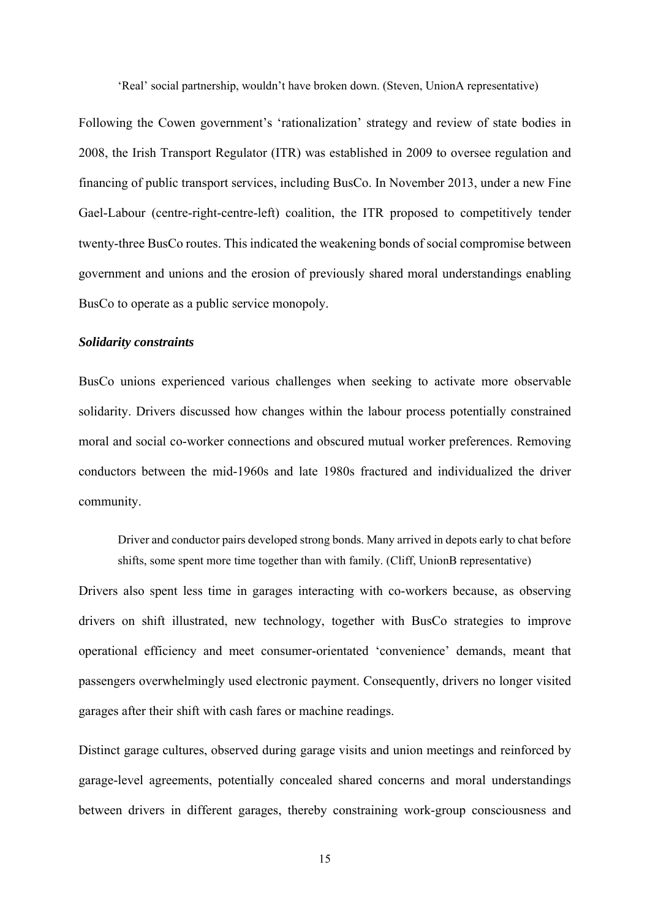'Real' social partnership, wouldn't have broken down. (Steven, UnionA representative)

Following the Cowen government's 'rationalization' strategy and review of state bodies in 2008, the Irish Transport Regulator (ITR) was established in 2009 to oversee regulation and financing of public transport services, including BusCo. In November 2013, under a new Fine Gael-Labour (centre-right-centre-left) coalition, the ITR proposed to competitively tender twenty-three BusCo routes. This indicated the weakening bonds of social compromise between government and unions and the erosion of previously shared moral understandings enabling BusCo to operate as a public service monopoly.

#### *Solidarity constraints*

BusCo unions experienced various challenges when seeking to activate more observable solidarity. Drivers discussed how changes within the labour process potentially constrained moral and social co-worker connections and obscured mutual worker preferences. Removing conductors between the mid-1960s and late 1980s fractured and individualized the driver community.

Driver and conductor pairs developed strong bonds. Many arrived in depots early to chat before shifts, some spent more time together than with family. (Cliff, UnionB representative)

Drivers also spent less time in garages interacting with co-workers because, as observing drivers on shift illustrated, new technology, together with BusCo strategies to improve operational efficiency and meet consumer-orientated 'convenience' demands, meant that passengers overwhelmingly used electronic payment. Consequently, drivers no longer visited garages after their shift with cash fares or machine readings.

Distinct garage cultures, observed during garage visits and union meetings and reinforced by garage-level agreements, potentially concealed shared concerns and moral understandings between drivers in different garages, thereby constraining work-group consciousness and

15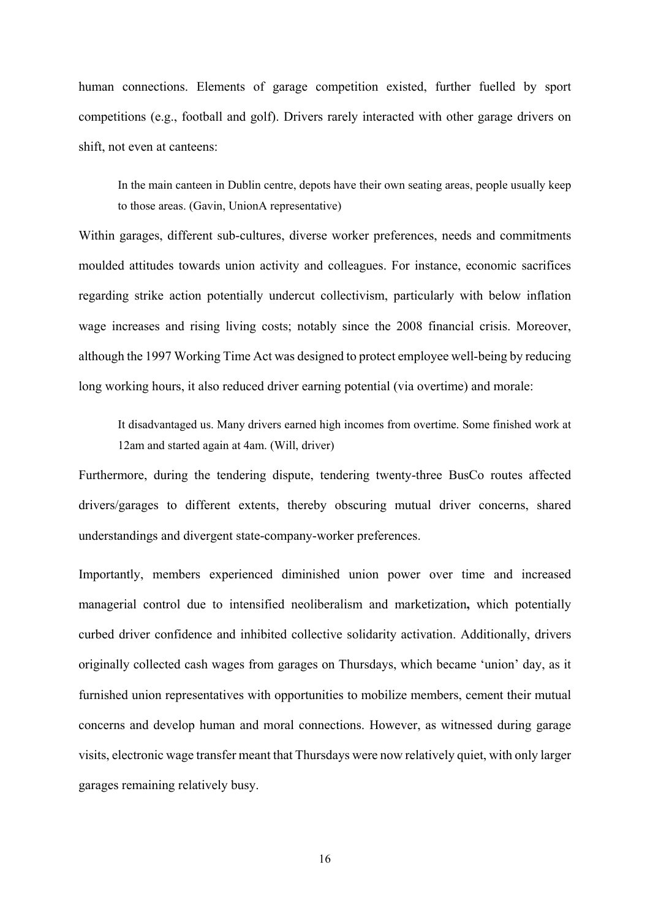human connections. Elements of garage competition existed, further fuelled by sport competitions (e.g., football and golf). Drivers rarely interacted with other garage drivers on shift, not even at canteens:

In the main canteen in Dublin centre, depots have their own seating areas, people usually keep to those areas. (Gavin, UnionA representative)

Within garages, different sub-cultures, diverse worker preferences, needs and commitments moulded attitudes towards union activity and colleagues. For instance, economic sacrifices regarding strike action potentially undercut collectivism, particularly with below inflation wage increases and rising living costs; notably since the 2008 financial crisis. Moreover, although the 1997 Working Time Act was designed to protect employee well-being by reducing long working hours, it also reduced driver earning potential (via overtime) and morale:

It disadvantaged us. Many drivers earned high incomes from overtime. Some finished work at 12am and started again at 4am. (Will, driver)

Furthermore, during the tendering dispute, tendering twenty-three BusCo routes affected drivers/garages to different extents, thereby obscuring mutual driver concerns, shared understandings and divergent state-company-worker preferences.

Importantly, members experienced diminished union power over time and increased managerial control due to intensified neoliberalism and marketization**,** which potentially curbed driver confidence and inhibited collective solidarity activation. Additionally, drivers originally collected cash wages from garages on Thursdays, which became 'union' day, as it furnished union representatives with opportunities to mobilize members, cement their mutual concerns and develop human and moral connections. However, as witnessed during garage visits, electronic wage transfer meant that Thursdays were now relatively quiet, with only larger garages remaining relatively busy.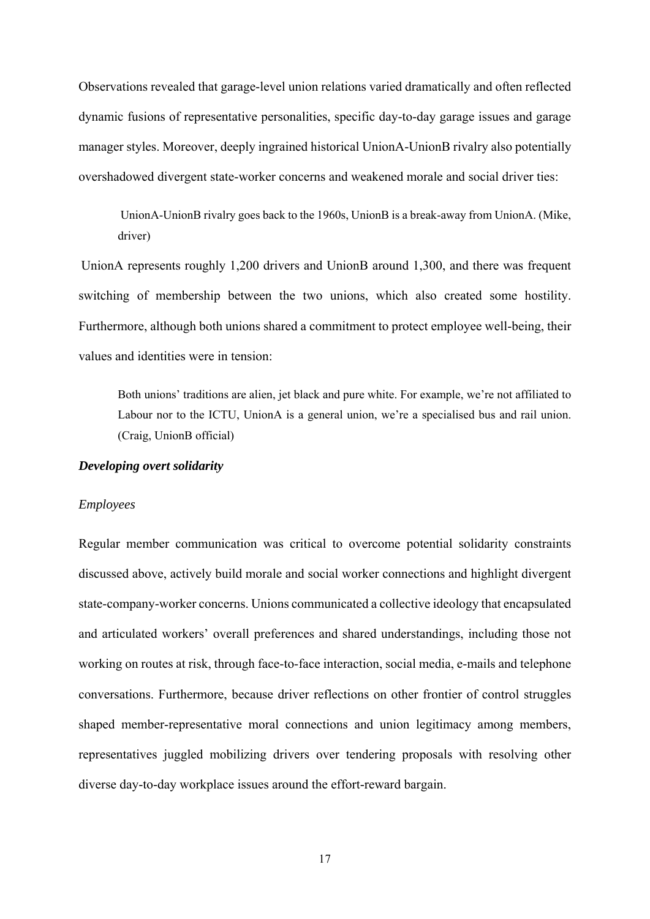Observations revealed that garage-level union relations varied dramatically and often reflected dynamic fusions of representative personalities, specific day-to-day garage issues and garage manager styles. Moreover, deeply ingrained historical UnionA-UnionB rivalry also potentially overshadowed divergent state-worker concerns and weakened morale and social driver ties:

UnionA-UnionB rivalry goes back to the 1960s, UnionB is a break-away from UnionA. (Mike, driver)

UnionA represents roughly 1,200 drivers and UnionB around 1,300, and there was frequent switching of membership between the two unions, which also created some hostility. Furthermore, although both unions shared a commitment to protect employee well-being, their values and identities were in tension:

Both unions' traditions are alien, jet black and pure white. For example, we're not affiliated to Labour nor to the ICTU, UnionA is a general union, we're a specialised bus and rail union. (Craig, UnionB official)

#### *Developing overt solidarity*

#### *Employees*

Regular member communication was critical to overcome potential solidarity constraints discussed above, actively build morale and social worker connections and highlight divergent state-company-worker concerns. Unions communicated a collective ideology that encapsulated and articulated workers' overall preferences and shared understandings, including those not working on routes at risk, through face-to-face interaction, social media, e-mails and telephone conversations. Furthermore, because driver reflections on other frontier of control struggles shaped member-representative moral connections and union legitimacy among members, representatives juggled mobilizing drivers over tendering proposals with resolving other diverse day-to-day workplace issues around the effort-reward bargain.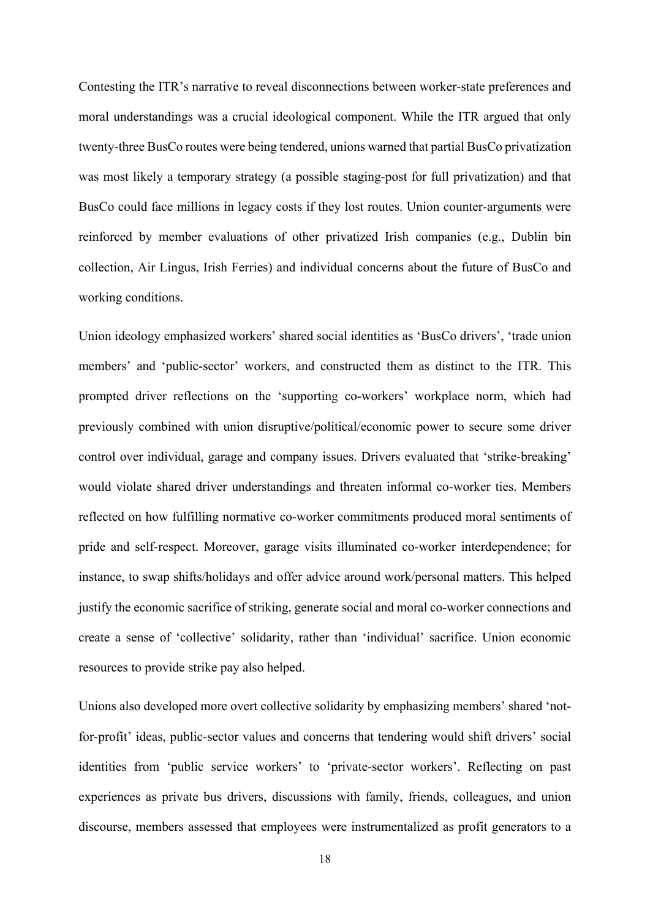Contesting the ITR's narrative to reveal disconnections between worker-state preferences and moral understandings was a crucial ideological component. While the ITR argued that only twenty-three BusCo routes were being tendered, unions warned that partial BusCo privatization was most likely a temporary strategy (a possible staging-post for full privatization) and that BusCo could face millions in legacy costs if they lost routes. Union counter-arguments were reinforced by member evaluations of other privatized Irish companies (e.g., Dublin bin collection, Air Lingus, Irish Ferries) and individual concerns about the future of BusCo and working conditions.

Union ideology emphasized workers' shared social identities as 'BusCo drivers', 'trade union members' and 'public-sector' workers, and constructed them as distinct to the ITR. This prompted driver reflections on the 'supporting co-workers' workplace norm, which had previously combined with union disruptive/political/economic power to secure some driver control over individual, garage and company issues. Drivers evaluated that 'strike-breaking' would violate shared driver understandings and threaten informal co-worker ties. Members reflected on how fulfilling normative co-worker commitments produced moral sentiments of pride and self-respect. Moreover, garage visits illuminated co-worker interdependence; for instance, to swap shifts/holidays and offer advice around work/personal matters. This helped justify the economic sacrifice of striking, generate social and moral co-worker connections and create a sense of 'collective' solidarity, rather than 'individual' sacrifice. Union economic resources to provide strike pay also helped.

Unions also developed more overt collective solidarity by emphasizing members' shared 'notfor-profit' ideas, public-sector values and concerns that tendering would shift drivers' social identities from 'public service workers' to 'private-sector workers'. Reflecting on past experiences as private bus drivers, discussions with family, friends, colleagues, and union discourse, members assessed that employees were instrumentalized as profit generators to a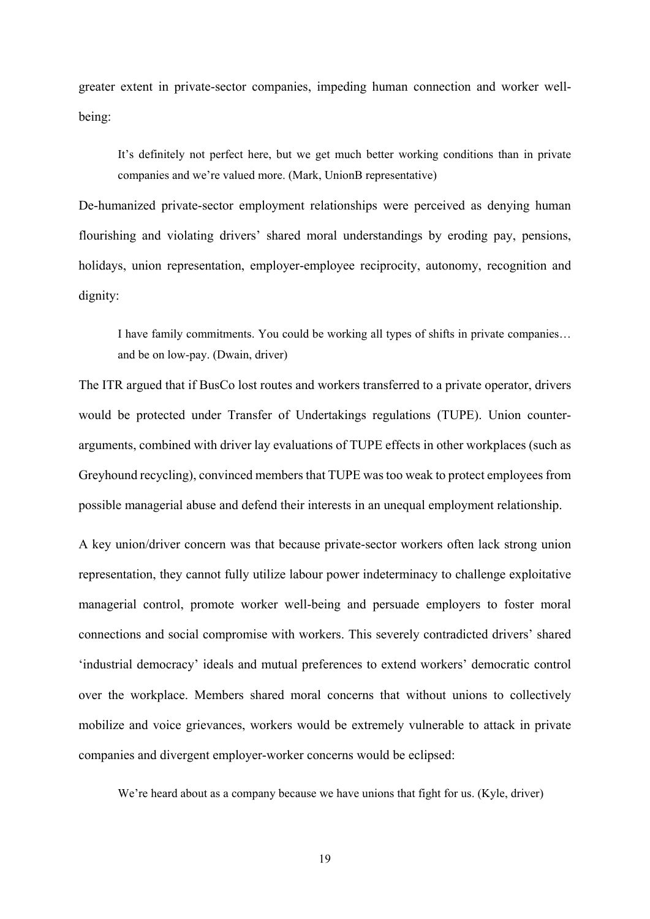greater extent in private-sector companies, impeding human connection and worker wellbeing:

It's definitely not perfect here, but we get much better working conditions than in private companies and we're valued more. (Mark, UnionB representative)

De-humanized private-sector employment relationships were perceived as denying human flourishing and violating drivers' shared moral understandings by eroding pay, pensions, holidays, union representation, employer-employee reciprocity, autonomy, recognition and dignity:

I have family commitments. You could be working all types of shifts in private companies… and be on low-pay. (Dwain, driver)

The ITR argued that if BusCo lost routes and workers transferred to a private operator, drivers would be protected under Transfer of Undertakings regulations (TUPE). Union counterarguments, combined with driver lay evaluations of TUPE effects in other workplaces (such as Greyhound recycling), convinced members that TUPE was too weak to protect employees from possible managerial abuse and defend their interests in an unequal employment relationship.

A key union/driver concern was that because private-sector workers often lack strong union representation, they cannot fully utilize labour power indeterminacy to challenge exploitative managerial control, promote worker well-being and persuade employers to foster moral connections and social compromise with workers. This severely contradicted drivers' shared 'industrial democracy' ideals and mutual preferences to extend workers' democratic control over the workplace. Members shared moral concerns that without unions to collectively mobilize and voice grievances, workers would be extremely vulnerable to attack in private companies and divergent employer-worker concerns would be eclipsed:

We're heard about as a company because we have unions that fight for us. (Kyle, driver)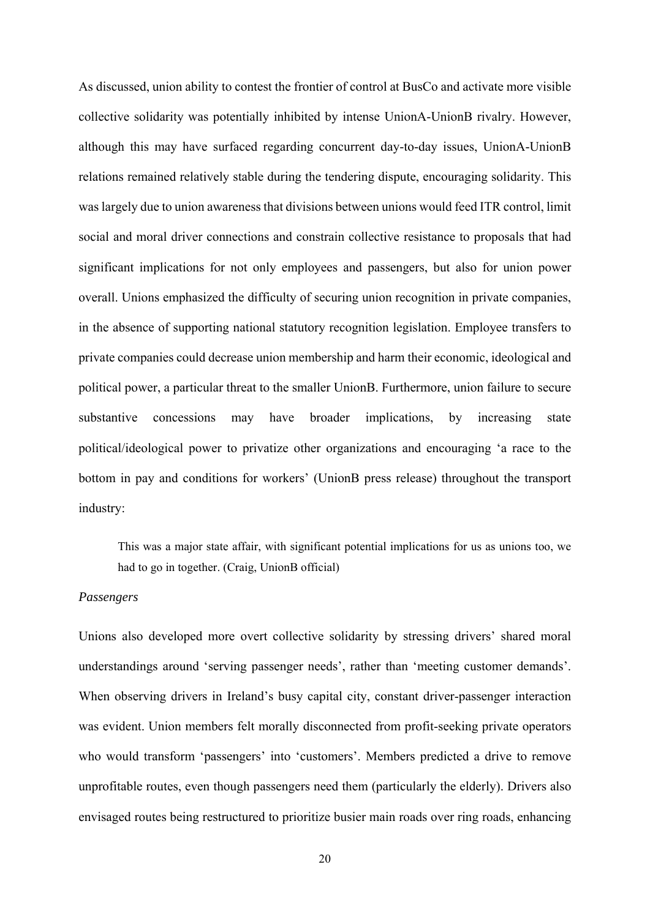As discussed, union ability to contest the frontier of control at BusCo and activate more visible collective solidarity was potentially inhibited by intense UnionA-UnionB rivalry. However, although this may have surfaced regarding concurrent day-to-day issues, UnionA-UnionB relations remained relatively stable during the tendering dispute, encouraging solidarity. This was largely due to union awareness that divisions between unions would feed ITR control, limit social and moral driver connections and constrain collective resistance to proposals that had significant implications for not only employees and passengers, but also for union power overall. Unions emphasized the difficulty of securing union recognition in private companies, in the absence of supporting national statutory recognition legislation. Employee transfers to private companies could decrease union membership and harm their economic, ideological and political power, a particular threat to the smaller UnionB. Furthermore, union failure to secure substantive concessions may have broader implications, by increasing state political/ideological power to privatize other organizations and encouraging 'a race to the bottom in pay and conditions for workers' (UnionB press release) throughout the transport industry:

This was a major state affair, with significant potential implications for us as unions too, we had to go in together. (Craig, UnionB official)

#### *Passengers*

Unions also developed more overt collective solidarity by stressing drivers' shared moral understandings around 'serving passenger needs', rather than 'meeting customer demands'. When observing drivers in Ireland's busy capital city, constant driver-passenger interaction was evident. Union members felt morally disconnected from profit-seeking private operators who would transform 'passengers' into 'customers'. Members predicted a drive to remove unprofitable routes, even though passengers need them (particularly the elderly). Drivers also envisaged routes being restructured to prioritize busier main roads over ring roads, enhancing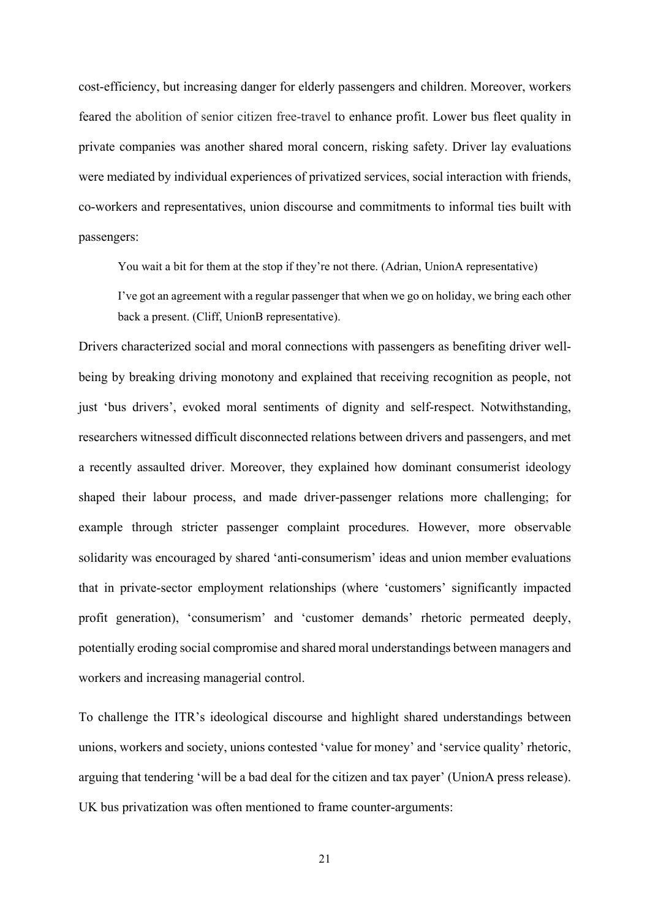cost-efficiency, but increasing danger for elderly passengers and children. Moreover, workers feared the abolition of senior citizen free-travel to enhance profit. Lower bus fleet quality in private companies was another shared moral concern, risking safety. Driver lay evaluations were mediated by individual experiences of privatized services, social interaction with friends, co-workers and representatives, union discourse and commitments to informal ties built with passengers:

You wait a bit for them at the stop if they're not there. (Adrian, UnionA representative)

I've got an agreement with a regular passenger that when we go on holiday, we bring each other back a present. (Cliff, UnionB representative).

Drivers characterized social and moral connections with passengers as benefiting driver wellbeing by breaking driving monotony and explained that receiving recognition as people, not just 'bus drivers', evoked moral sentiments of dignity and self-respect. Notwithstanding, researchers witnessed difficult disconnected relations between drivers and passengers, and met a recently assaulted driver. Moreover, they explained how dominant consumerist ideology shaped their labour process, and made driver-passenger relations more challenging; for example through stricter passenger complaint procedures. However, more observable solidarity was encouraged by shared 'anti-consumerism' ideas and union member evaluations that in private-sector employment relationships (where 'customers' significantly impacted profit generation), 'consumerism' and 'customer demands' rhetoric permeated deeply, potentially eroding social compromise and shared moral understandings between managers and workers and increasing managerial control.

To challenge the ITR's ideological discourse and highlight shared understandings between unions, workers and society, unions contested 'value for money' and 'service quality' rhetoric, arguing that tendering 'will be a bad deal for the citizen and tax payer' (UnionA press release). UK bus privatization was often mentioned to frame counter-arguments: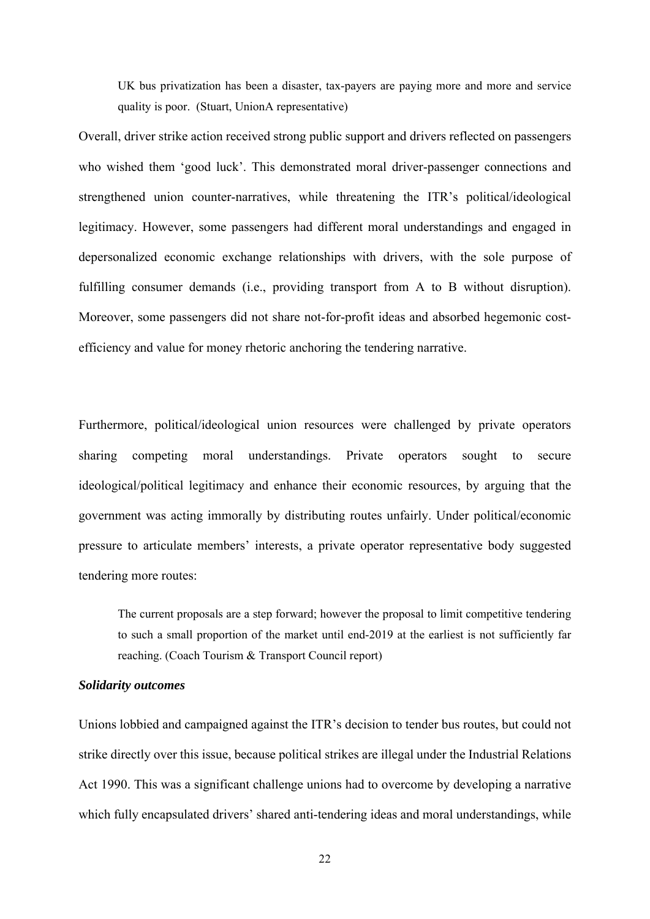UK bus privatization has been a disaster, tax-payers are paying more and more and service quality is poor. (Stuart, UnionA representative)

Overall, driver strike action received strong public support and drivers reflected on passengers who wished them 'good luck'. This demonstrated moral driver-passenger connections and strengthened union counter-narratives, while threatening the ITR's political/ideological legitimacy. However, some passengers had different moral understandings and engaged in depersonalized economic exchange relationships with drivers, with the sole purpose of fulfilling consumer demands (i.e., providing transport from A to B without disruption). Moreover, some passengers did not share not-for-profit ideas and absorbed hegemonic costefficiency and value for money rhetoric anchoring the tendering narrative.

Furthermore, political/ideological union resources were challenged by private operators sharing competing moral understandings. Private operators sought to secure ideological/political legitimacy and enhance their economic resources, by arguing that the government was acting immorally by distributing routes unfairly. Under political/economic pressure to articulate members' interests, a private operator representative body suggested tendering more routes:

The current proposals are a step forward; however the proposal to limit competitive tendering to such a small proportion of the market until end-2019 at the earliest is not sufficiently far reaching. (Coach Tourism & Transport Council report)

### *Solidarity outcomes*

Unions lobbied and campaigned against the ITR's decision to tender bus routes, but could not strike directly over this issue, because political strikes are illegal under the Industrial Relations Act 1990. This was a significant challenge unions had to overcome by developing a narrative which fully encapsulated drivers' shared anti-tendering ideas and moral understandings, while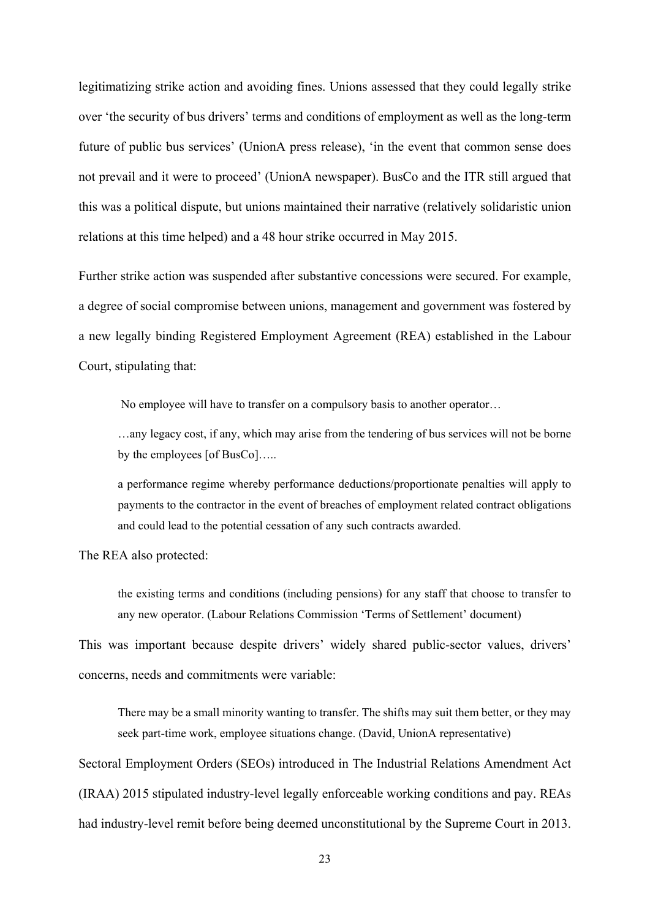legitimatizing strike action and avoiding fines. Unions assessed that they could legally strike over 'the security of bus drivers' terms and conditions of employment as well as the long-term future of public bus services' (UnionA press release), 'in the event that common sense does not prevail and it were to proceed' (UnionA newspaper). BusCo and the ITR still argued that this was a political dispute, but unions maintained their narrative (relatively solidaristic union relations at this time helped) and a 48 hour strike occurred in May 2015.

Further strike action was suspended after substantive concessions were secured. For example, a degree of social compromise between unions, management and government was fostered by a new legally binding Registered Employment Agreement (REA) established in the Labour Court, stipulating that:

No employee will have to transfer on a compulsory basis to another operator…

…any legacy cost, if any, which may arise from the tendering of bus services will not be borne by the employees [of BusCo]…..

a performance regime whereby performance deductions/proportionate penalties will apply to payments to the contractor in the event of breaches of employment related contract obligations and could lead to the potential cessation of any such contracts awarded.

The REA also protected:

the existing terms and conditions (including pensions) for any staff that choose to transfer to any new operator. (Labour Relations Commission 'Terms of Settlement' document)

This was important because despite drivers' widely shared public-sector values, drivers' concerns, needs and commitments were variable:

There may be a small minority wanting to transfer. The shifts may suit them better, or they may seek part-time work, employee situations change. (David, UnionA representative)

Sectoral Employment Orders (SEOs) introduced in The Industrial Relations Amendment Act (IRAA) 2015 stipulated industry-level legally enforceable working conditions and pay. REAs had industry-level remit before being deemed unconstitutional by the Supreme Court in 2013.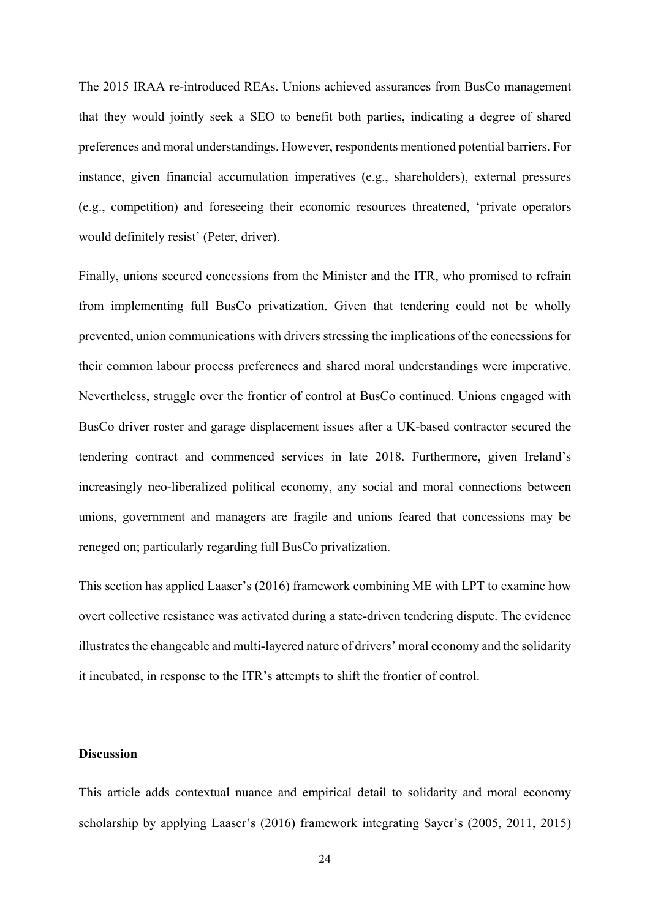The 2015 IRAA re-introduced REAs. Unions achieved assurances from BusCo management that they would jointly seek a SEO to benefit both parties, indicating a degree of shared preferences and moral understandings. However, respondents mentioned potential barriers. For instance, given financial accumulation imperatives (e.g., shareholders), external pressures (e.g., competition) and foreseeing their economic resources threatened, 'private operators would definitely resist' (Peter, driver).

Finally, unions secured concessions from the Minister and the ITR, who promised to refrain from implementing full BusCo privatization. Given that tendering could not be wholly prevented, union communications with drivers stressing the implications of the concessions for their common labour process preferences and shared moral understandings were imperative. Nevertheless, struggle over the frontier of control at BusCo continued. Unions engaged with BusCo driver roster and garage displacement issues after a UK-based contractor secured the tendering contract and commenced services in late 2018. Furthermore, given Ireland's increasingly neo-liberalized political economy, any social and moral connections between unions, government and managers are fragile and unions feared that concessions may be reneged on; particularly regarding full BusCo privatization.

This section has applied Laaser's (2016) framework combining ME with LPT to examine how overt collective resistance was activated during a state-driven tendering dispute. The evidence illustrates the changeable and multi-layered nature of drivers' moral economy and the solidarity it incubated, in response to the ITR's attempts to shift the frontier of control.

#### **Discussion**

This article adds contextual nuance and empirical detail to solidarity and moral economy scholarship by applying Laaser's (2016) framework integrating Sayer's (2005, 2011, 2015)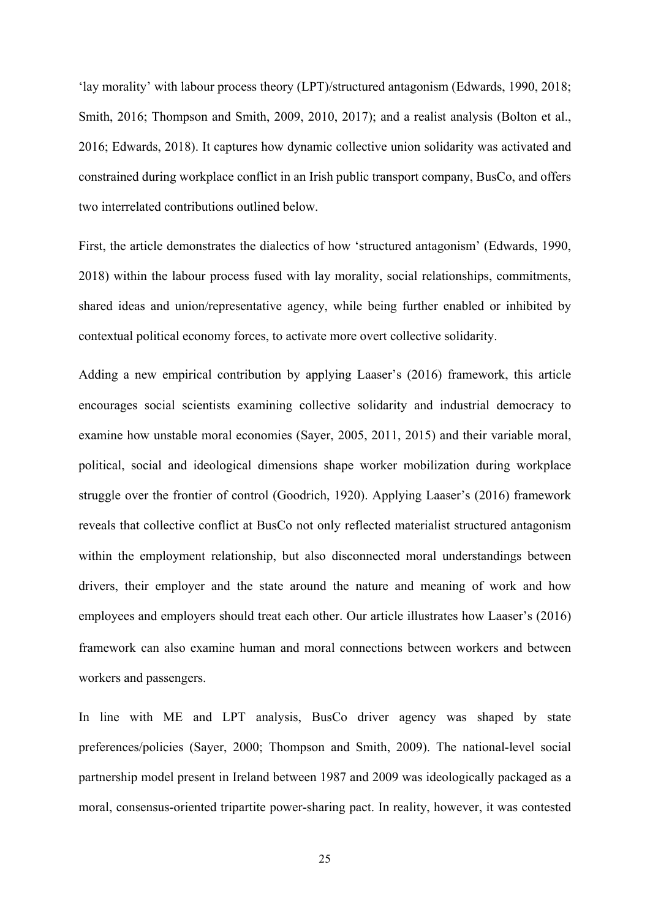'lay morality' with labour process theory (LPT)/structured antagonism (Edwards, 1990, 2018; Smith, 2016; Thompson and Smith, 2009, 2010, 2017); and a realist analysis (Bolton et al., 2016; Edwards, 2018). It captures how dynamic collective union solidarity was activated and constrained during workplace conflict in an Irish public transport company, BusCo, and offers two interrelated contributions outlined below.

First, the article demonstrates the dialectics of how 'structured antagonism' (Edwards, 1990, 2018) within the labour process fused with lay morality, social relationships, commitments, shared ideas and union/representative agency, while being further enabled or inhibited by contextual political economy forces, to activate more overt collective solidarity.

Adding a new empirical contribution by applying Laaser's (2016) framework, this article encourages social scientists examining collective solidarity and industrial democracy to examine how unstable moral economies (Sayer, 2005, 2011, 2015) and their variable moral, political, social and ideological dimensions shape worker mobilization during workplace struggle over the frontier of control (Goodrich, 1920). Applying Laaser's (2016) framework reveals that collective conflict at BusCo not only reflected materialist structured antagonism within the employment relationship, but also disconnected moral understandings between drivers, their employer and the state around the nature and meaning of work and how employees and employers should treat each other. Our article illustrates how Laaser's (2016) framework can also examine human and moral connections between workers and between workers and passengers.

In line with ME and LPT analysis, BusCo driver agency was shaped by state preferences/policies (Sayer, 2000; Thompson and Smith, 2009). The national-level social partnership model present in Ireland between 1987 and 2009 was ideologically packaged as a moral, consensus-oriented tripartite power-sharing pact. In reality, however, it was contested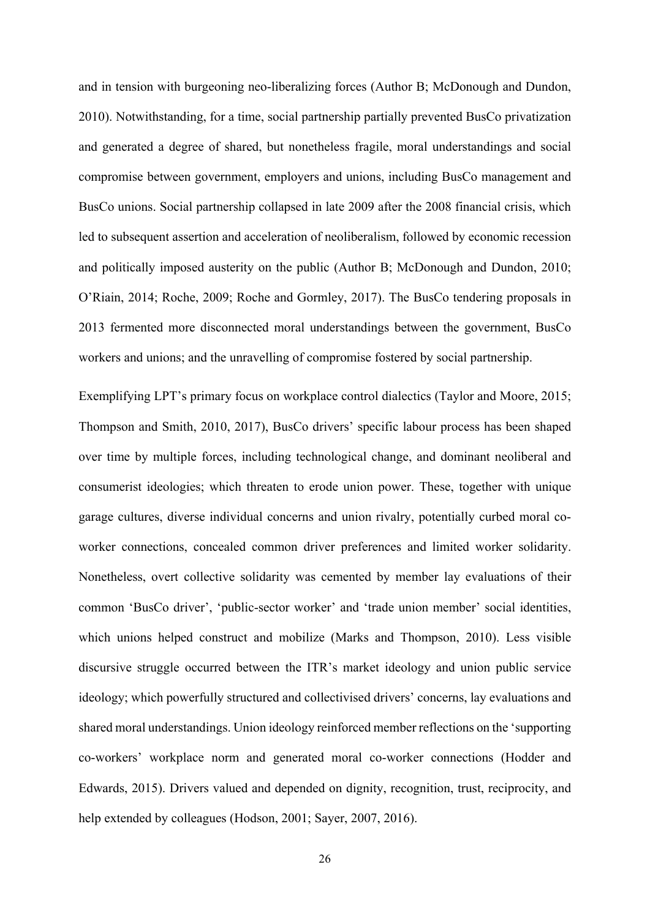and in tension with burgeoning neo-liberalizing forces (Author B; McDonough and Dundon, 2010). Notwithstanding, for a time, social partnership partially prevented BusCo privatization and generated a degree of shared, but nonetheless fragile, moral understandings and social compromise between government, employers and unions, including BusCo management and BusCo unions. Social partnership collapsed in late 2009 after the 2008 financial crisis, which led to subsequent assertion and acceleration of neoliberalism, followed by economic recession and politically imposed austerity on the public (Author B; McDonough and Dundon, 2010; O'Riain, 2014; Roche, 2009; Roche and Gormley, 2017). The BusCo tendering proposals in 2013 fermented more disconnected moral understandings between the government, BusCo workers and unions; and the unravelling of compromise fostered by social partnership.

Exemplifying LPT's primary focus on workplace control dialectics (Taylor and Moore, 2015; Thompson and Smith, 2010, 2017), BusCo drivers' specific labour process has been shaped over time by multiple forces, including technological change, and dominant neoliberal and consumerist ideologies; which threaten to erode union power. These, together with unique garage cultures, diverse individual concerns and union rivalry, potentially curbed moral coworker connections, concealed common driver preferences and limited worker solidarity. Nonetheless, overt collective solidarity was cemented by member lay evaluations of their common 'BusCo driver', 'public-sector worker' and 'trade union member' social identities, which unions helped construct and mobilize (Marks and Thompson, 2010). Less visible discursive struggle occurred between the ITR's market ideology and union public service ideology; which powerfully structured and collectivised drivers' concerns, lay evaluations and shared moral understandings. Union ideology reinforced member reflections on the 'supporting co-workers' workplace norm and generated moral co-worker connections (Hodder and Edwards, 2015). Drivers valued and depended on dignity, recognition, trust, reciprocity, and help extended by colleagues (Hodson, 2001; Sayer, 2007, 2016).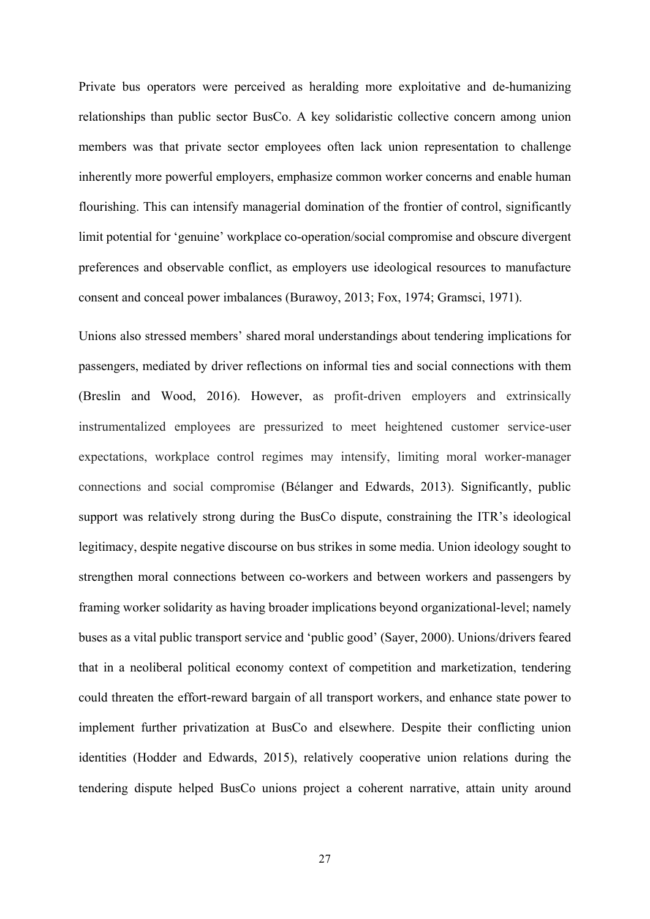Private bus operators were perceived as heralding more exploitative and de-humanizing relationships than public sector BusCo. A key solidaristic collective concern among union members was that private sector employees often lack union representation to challenge inherently more powerful employers, emphasize common worker concerns and enable human flourishing. This can intensify managerial domination of the frontier of control, significantly limit potential for 'genuine' workplace co-operation/social compromise and obscure divergent preferences and observable conflict, as employers use ideological resources to manufacture consent and conceal power imbalances (Burawoy, 2013; Fox, 1974; Gramsci, 1971).

Unions also stressed members' shared moral understandings about tendering implications for passengers, mediated by driver reflections on informal ties and social connections with them (Breslin and Wood, 2016). However, as profit-driven employers and extrinsically instrumentalized employees are pressurized to meet heightened customer service-user expectations, workplace control regimes may intensify, limiting moral worker-manager connections and social compromise (Bélanger and Edwards, 2013). Significantly, public support was relatively strong during the BusCo dispute, constraining the ITR's ideological legitimacy, despite negative discourse on bus strikes in some media. Union ideology sought to strengthen moral connections between co-workers and between workers and passengers by framing worker solidarity as having broader implications beyond organizational-level; namely buses as a vital public transport service and 'public good' (Sayer, 2000). Unions/drivers feared that in a neoliberal political economy context of competition and marketization, tendering could threaten the effort-reward bargain of all transport workers, and enhance state power to implement further privatization at BusCo and elsewhere. Despite their conflicting union identities (Hodder and Edwards, 2015), relatively cooperative union relations during the tendering dispute helped BusCo unions project a coherent narrative, attain unity around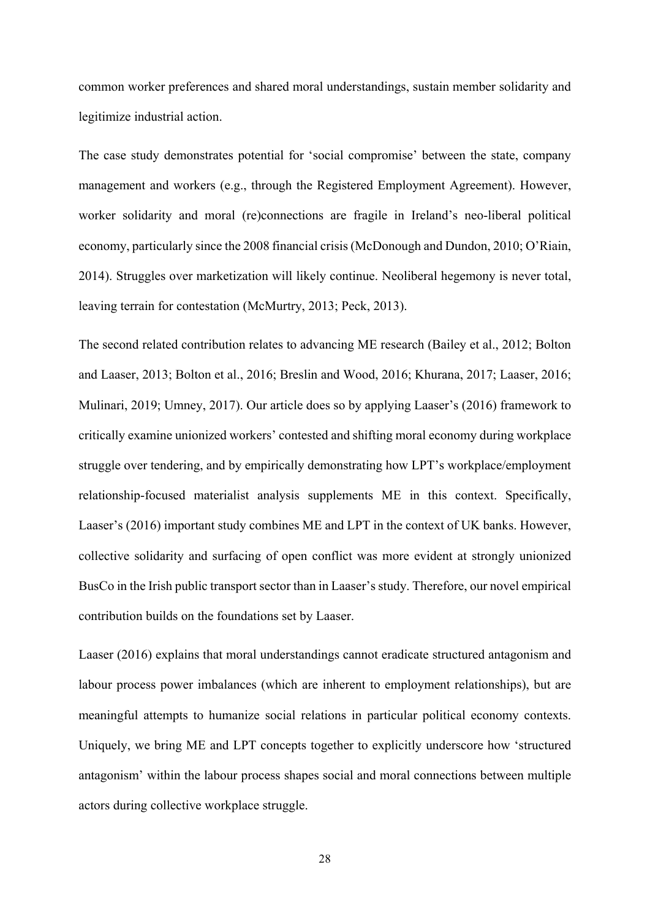common worker preferences and shared moral understandings, sustain member solidarity and legitimize industrial action.

The case study demonstrates potential for 'social compromise' between the state, company management and workers (e.g., through the Registered Employment Agreement). However, worker solidarity and moral (re)connections are fragile in Ireland's neo-liberal political economy, particularly since the 2008 financial crisis (McDonough and Dundon, 2010; O'Riain, 2014). Struggles over marketization will likely continue. Neoliberal hegemony is never total, leaving terrain for contestation (McMurtry, 2013; Peck, 2013).

The second related contribution relates to advancing ME research (Bailey et al., 2012; Bolton and Laaser, 2013; Bolton et al., 2016; Breslin and Wood, 2016; Khurana, 2017; Laaser, 2016; Mulinari, 2019; Umney, 2017). Our article does so by applying Laaser's (2016) framework to critically examine unionized workers' contested and shifting moral economy during workplace struggle over tendering, and by empirically demonstrating how LPT's workplace/employment relationship-focused materialist analysis supplements ME in this context. Specifically, Laaser's (2016) important study combines ME and LPT in the context of UK banks. However, collective solidarity and surfacing of open conflict was more evident at strongly unionized BusCo in the Irish public transport sector than in Laaser's study. Therefore, our novel empirical contribution builds on the foundations set by Laaser.

Laaser (2016) explains that moral understandings cannot eradicate structured antagonism and labour process power imbalances (which are inherent to employment relationships), but are meaningful attempts to humanize social relations in particular political economy contexts. Uniquely, we bring ME and LPT concepts together to explicitly underscore how 'structured antagonism' within the labour process shapes social and moral connections between multiple actors during collective workplace struggle.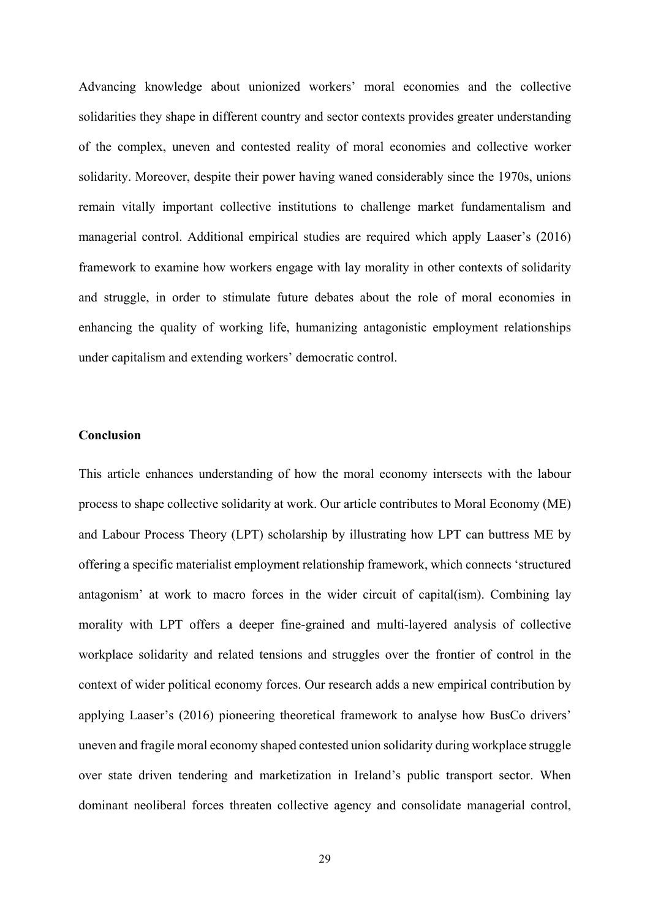Advancing knowledge about unionized workers' moral economies and the collective solidarities they shape in different country and sector contexts provides greater understanding of the complex, uneven and contested reality of moral economies and collective worker solidarity. Moreover, despite their power having waned considerably since the 1970s, unions remain vitally important collective institutions to challenge market fundamentalism and managerial control. Additional empirical studies are required which apply Laaser's (2016) framework to examine how workers engage with lay morality in other contexts of solidarity and struggle, in order to stimulate future debates about the role of moral economies in enhancing the quality of working life, humanizing antagonistic employment relationships under capitalism and extending workers' democratic control.

#### **Conclusion**

This article enhances understanding of how the moral economy intersects with the labour process to shape collective solidarity at work. Our article contributes to Moral Economy (ME) and Labour Process Theory (LPT) scholarship by illustrating how LPT can buttress ME by offering a specific materialist employment relationship framework, which connects 'structured antagonism' at work to macro forces in the wider circuit of capital(ism). Combining lay morality with LPT offers a deeper fine-grained and multi-layered analysis of collective workplace solidarity and related tensions and struggles over the frontier of control in the context of wider political economy forces. Our research adds a new empirical contribution by applying Laaser's (2016) pioneering theoretical framework to analyse how BusCo drivers' uneven and fragile moral economy shaped contested union solidarity during workplace struggle over state driven tendering and marketization in Ireland's public transport sector. When dominant neoliberal forces threaten collective agency and consolidate managerial control,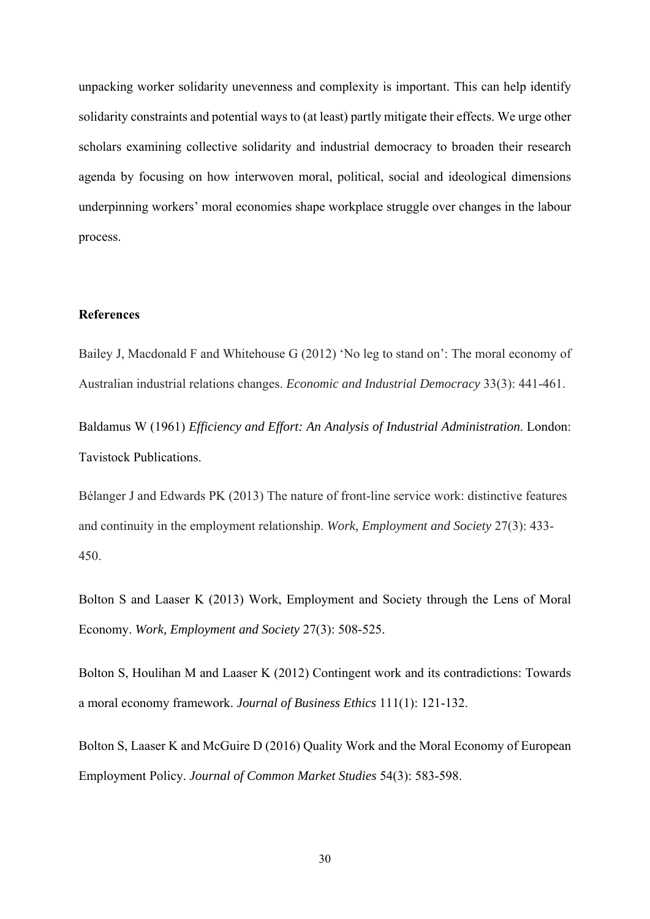unpacking worker solidarity unevenness and complexity is important. This can help identify solidarity constraints and potential ways to (at least) partly mitigate their effects. We urge other scholars examining collective solidarity and industrial democracy to broaden their research agenda by focusing on how interwoven moral, political, social and ideological dimensions underpinning workers' moral economies shape workplace struggle over changes in the labour process.

#### **References**

Bailey J, Macdonald F and Whitehouse G (2012) 'No leg to stand on': The moral economy of Australian industrial relations changes. *Economic and Industrial Democracy* 33(3): 441-461.

Baldamus W (1961) *Efficiency and Effort: An Analysis of Industrial Administration*. London: Tavistock Publications.

Bélanger J and Edwards PK (2013) The nature of front-line service work: distinctive features and continuity in the employment relationship. *Work, Employment and Society* 27(3): 433- 450.

Bolton S and Laaser K (2013) Work, Employment and Society through the Lens of Moral Economy. *Work, Employment and Society* 27(3): 508-525.

Bolton S, Houlihan M and Laaser K (2012) Contingent work and its contradictions: Towards a moral economy framework. *Journal of Business Ethics* 111(1): 121-132.

Bolton S, Laaser K and McGuire D (2016) Quality Work and the Moral Economy of European Employment Policy. *Journal of Common Market Studies* 54(3): 583-598.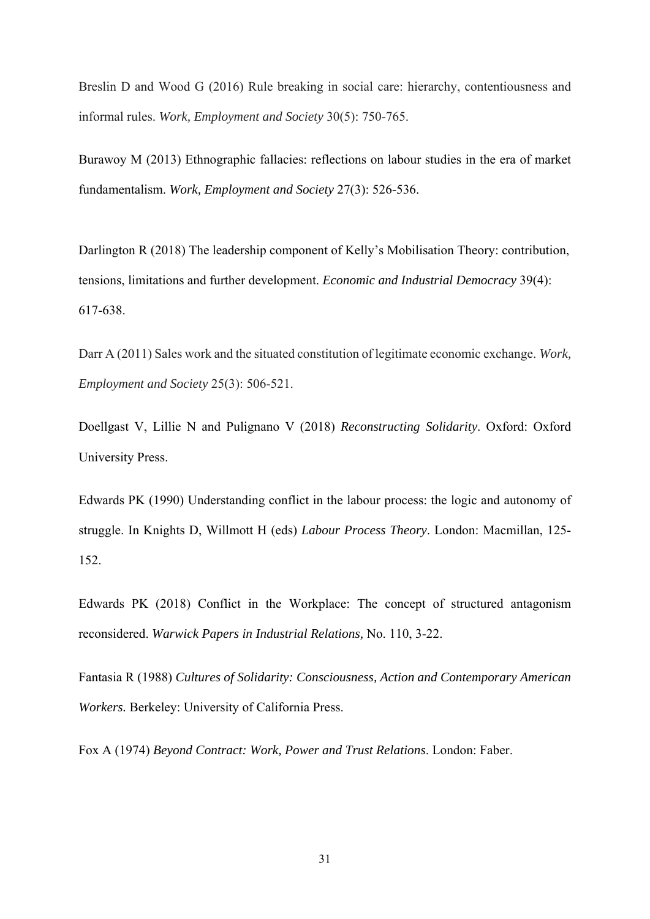Breslin D and Wood G (2016) Rule breaking in social care: hierarchy, contentiousness and informal rules. *Work, Employment and Society* 30(5): 750-765.

Burawoy M (2013) Ethnographic fallacies: reflections on labour studies in the era of market fundamentalism. *Work, Employment and Society* 27(3): 526-536.

Darlington R (2018) The leadership component of Kelly's Mobilisation Theory: contribution, tensions, limitations and further development. *Economic and Industrial Democracy* 39(4): 617-638.

Darr A (2011) Sales work and the situated constitution of legitimate economic exchange. *Work, Employment and Society* 25(3): 506-521.

Doellgast V, Lillie N and Pulignano V (2018) *Reconstructing Solidarity*. Oxford: Oxford University Press.

Edwards PK (1990) Understanding conflict in the labour process: the logic and autonomy of struggle. In Knights D, Willmott H (eds) *Labour Process Theory*. London: Macmillan, 125- 152.

Edwards PK (2018) Conflict in the Workplace: The concept of structured antagonism reconsidered. *Warwick Papers in Industrial Relations,* No. 110, 3-22.

Fantasia R (1988) *Cultures of Solidarity: Consciousness, Action and Contemporary American Workers.* Berkeley: University of California Press.

Fox A (1974) *Beyond Contract: Work, Power and Trust Relations*. London: Faber.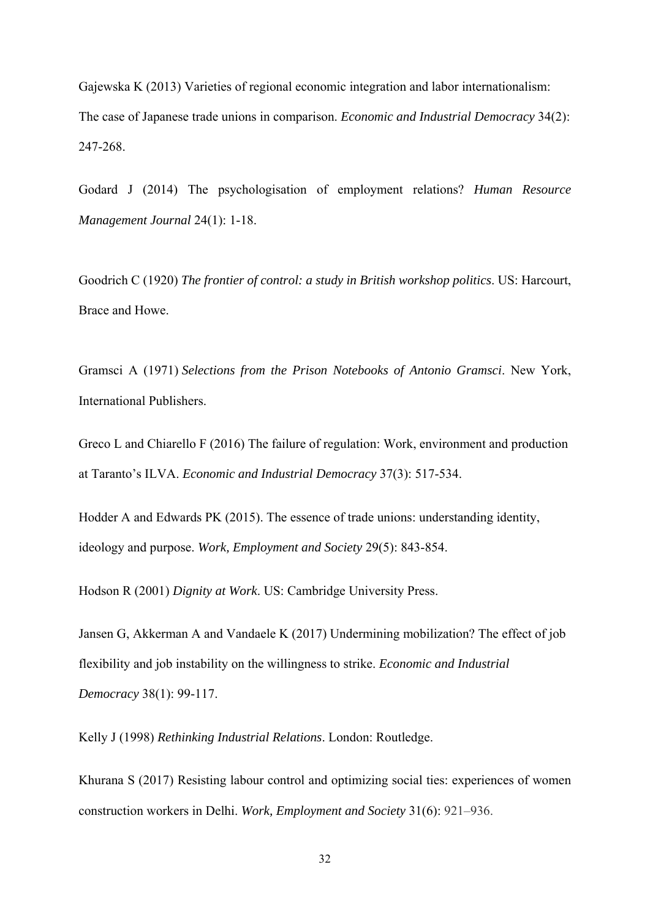Gajewska K (2013) Varieties of regional economic integration and labor internationalism: The case of Japanese trade unions in comparison. *Economic and Industrial Democracy* 34(2): 247-268.

Godard J (2014) The psychologisation of employment relations? *Human Resource Management Journal* 24(1): 1-18.

Goodrich C (1920) *The frontier of control: a study in British workshop politics*. US: Harcourt, Brace and Howe.

Gramsci A (1971) *Selections from the Prison Notebooks of Antonio Gramsci*. New York, International Publishers.

Greco L and Chiarello F (2016) The failure of regulation: Work, environment and production at Taranto's ILVA. *Economic and Industrial Democracy* 37(3): 517-534.

Hodder A and Edwards PK (2015). The essence of trade unions: understanding identity, ideology and purpose. *Work, Employment and Society* 29(5): 843-854.

Hodson R (2001) *Dignity at Work*. US: Cambridge University Press.

Jansen G, Akkerman A and Vandaele K (2017) Undermining mobilization? The effect of job flexibility and job instability on the willingness to strike. *Economic and Industrial Democracy* 38(1): 99-117.

Kelly J (1998) *Rethinking Industrial Relations*. London: Routledge.

Khurana S (2017) Resisting labour control and optimizing social ties: experiences of women construction workers in Delhi. *Work, Employment and Society* 31(6): 921–936.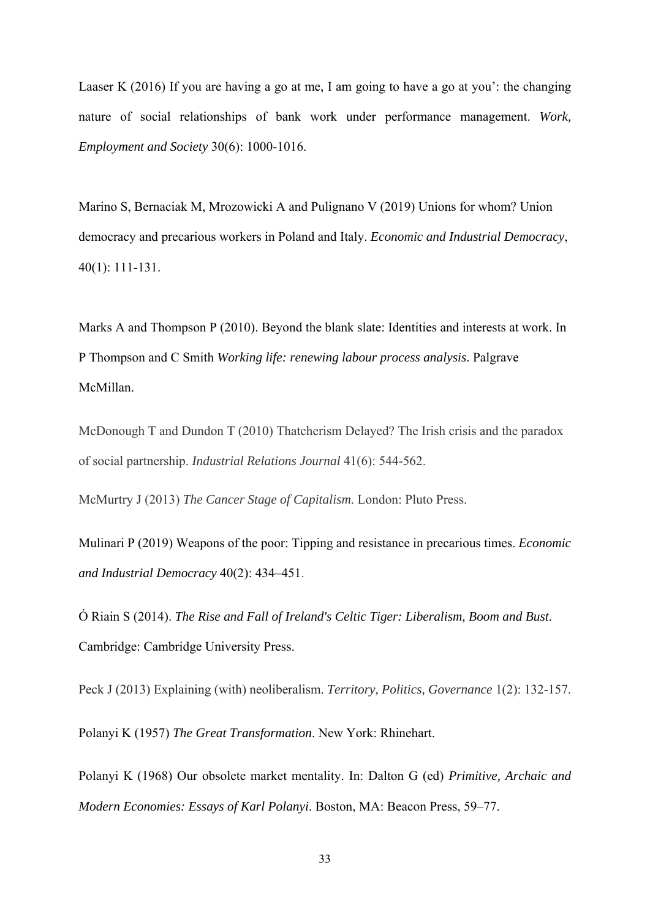Laaser K (2016) If you are having a go at me, I am going to have a go at you': the changing nature of social relationships of bank work under performance management. *Work, Employment and Society* 30(6): 1000-1016.

Marino S, Bernaciak M, Mrozowicki A and Pulignano V (2019) Unions for whom? Union democracy and precarious workers in Poland and Italy. *Economic and Industrial Democracy*, 40(1): 111-131.

Marks A and Thompson P (2010). Beyond the blank slate: Identities and interests at work. In P Thompson and C Smith *Working life: renewing labour process analysis*. Palgrave McMillan.

McDonough T and Dundon T (2010) Thatcherism Delayed? The Irish crisis and the paradox of social partnership. *Industrial Relations Journal* 41(6): 544-562.

McMurtry J (2013) *The Cancer Stage of Capitalism*. London: Pluto Press.

Mulinari P (2019) Weapons of the poor: Tipping and resistance in precarious times. *Economic and Industrial Democracy* 40(2): 434–451.

Ó Riain S (2014). *The Rise and Fall of Ireland's Celtic Tiger: Liberalism, Boom and Bust*. Cambridge: Cambridge University Press.

Peck J (2013) Explaining (with) neoliberalism. *Territory, Politics, Governance* 1(2): 132-157.

Polanyi K (1957) *The Great Transformation*. New York: Rhinehart.

Polanyi K (1968) Our obsolete market mentality. In: Dalton G (ed) *Primitive, Archaic and Modern Economies: Essays of Karl Polanyi*. Boston, MA: Beacon Press, 59–77.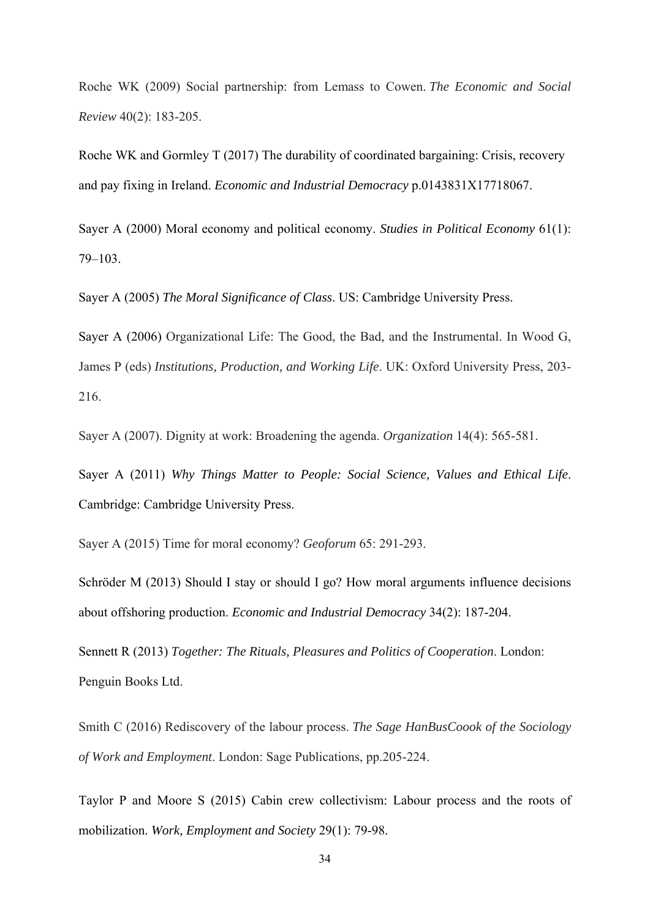Roche WK (2009) Social partnership: from Lemass to Cowen. *The Economic and Social Review* 40(2): 183-205.

Roche WK and Gormley T (2017) The durability of coordinated bargaining: Crisis, recovery and pay fixing in Ireland. *Economic and Industrial Democracy* p.0143831X17718067.

Sayer A (2000) Moral economy and political economy. *Studies in Political Economy* 61(1): 79–103.

Sayer A (2005) *The Moral Significance of Class*. US: Cambridge University Press.

Sayer A (2006) Organizational Life: The Good, the Bad, and the Instrumental. In Wood G, James P (eds) *Institutions, Production, and Working Life*. UK: Oxford University Press, 203- 216.

Sayer A (2007). Dignity at work: Broadening the agenda. *Organization* 14(4): 565-581.

Sayer A (2011) *Why Things Matter to People: Social Science, Values and Ethical Life*. Cambridge: Cambridge University Press.

Sayer A (2015) Time for moral economy? *Geoforum* 65: 291-293.

Schröder M (2013) Should I stay or should I go? How moral arguments influence decisions about offshoring production. *Economic and Industrial Democracy* 34(2): 187-204.

Sennett R (2013) *Together: The Rituals, Pleasures and Politics of Cooperation*. London: Penguin Books Ltd.

Smith C (2016) Rediscovery of the labour process. *The Sage HanBusCoook of the Sociology of Work and Employment*. London: Sage Publications, pp.205-224.

Taylor P and Moore S (2015) Cabin crew collectivism: Labour process and the roots of mobilization. *Work, Employment and Society* 29(1): 79-98.